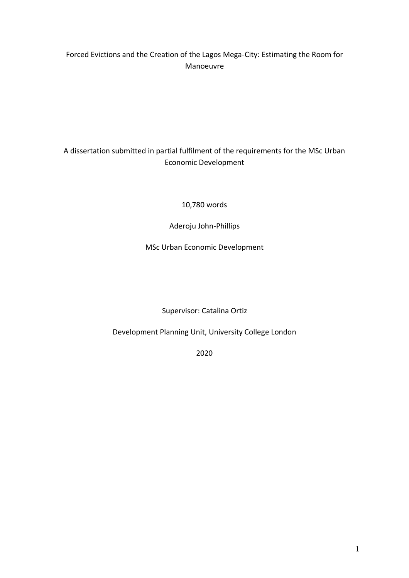# Forced Evictions and the Creation of the Lagos Mega-City: Estimating the Room for Manoeuvre

# A dissertation submitted in partial fulfilment of the requirements for the MSc Urban Economic Development

10,780 words

Aderoju John-Phillips

MSc Urban Economic Development

Supervisor: Catalina Ortiz

Development Planning Unit, University College London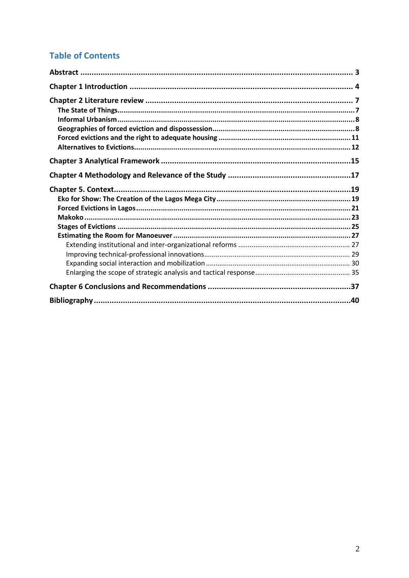# **Table of Contents**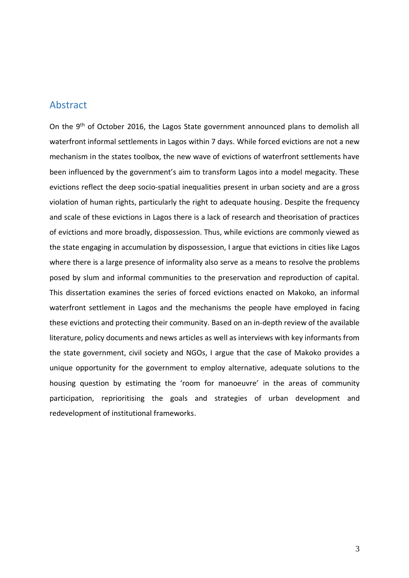# <span id="page-2-0"></span>Abstract

On the 9<sup>th</sup> of October 2016, the Lagos State government announced plans to demolish all waterfront informal settlements in Lagos within 7 days. While forced evictions are not a new mechanism in the states toolbox, the new wave of evictions of waterfront settlements have been influenced by the government's aim to transform Lagos into a model megacity. These evictions reflect the deep socio-spatial inequalities present in urban society and are a gross violation of human rights, particularly the right to adequate housing. Despite the frequency and scale of these evictions in Lagos there is a lack of research and theorisation of practices of evictions and more broadly, dispossession. Thus, while evictions are commonly viewed as the state engaging in accumulation by dispossession, I argue that evictions in cities like Lagos where there is a large presence of informality also serve as a means to resolve the problems posed by slum and informal communities to the preservation and reproduction of capital. This dissertation examines the series of forced evictions enacted on Makoko, an informal waterfront settlement in Lagos and the mechanisms the people have employed in facing these evictions and protecting their community. Based on an in-depth review of the available literature, policy documents and news articles as well as interviews with key informants from the state government, civil society and NGOs, I argue that the case of Makoko provides a unique opportunity for the government to employ alternative, adequate solutions to the housing question by estimating the 'room for manoeuvre' in the areas of community participation, reprioritising the goals and strategies of urban development and redevelopment of institutional frameworks.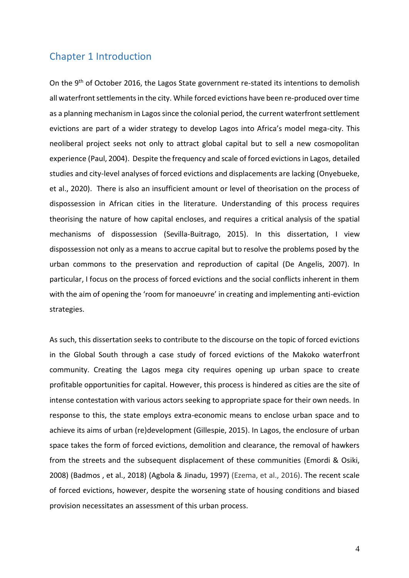# <span id="page-3-0"></span>Chapter 1 Introduction

On the 9<sup>th</sup> of October 2016, the Lagos State government re-stated its intentions to demolish all waterfront settlements in the city. While forced evictions have been re-produced over time as a planning mechanism in Lagos since the colonial period, the current waterfront settlement evictions are part of a wider strategy to develop Lagos into Africa's model mega-city. This neoliberal project seeks not only to attract global capital but to sell a new cosmopolitan experience (Paul, 2004). Despite the frequency and scale of forced evictions in Lagos, detailed studies and city-level analyses of forced evictions and displacements are lacking (Onyebueke, et al., 2020). There is also an insufficient amount or level of theorisation on the process of dispossession in African cities in the literature. Understanding of this process requires theorising the nature of how capital encloses, and requires a critical analysis of the spatial mechanisms of dispossession (Sevilla-Buitrago, 2015). In this dissertation, I view dispossession not only as a means to accrue capital but to resolve the problems posed by the urban commons to the preservation and reproduction of capital (De Angelis, 2007). In particular, I focus on the process of forced evictions and the social conflicts inherent in them with the aim of opening the 'room for manoeuvre' in creating and implementing anti-eviction strategies.

As such, this dissertation seeks to contribute to the discourse on the topic of forced evictions in the Global South through a case study of forced evictions of the Makoko waterfront community. Creating the Lagos mega city requires opening up urban space to create profitable opportunities for capital. However, this process is hindered as cities are the site of intense contestation with various actors seeking to appropriate space for their own needs. In response to this, the state employs extra-economic means to enclose urban space and to achieve its aims of urban (re)development (Gillespie, 2015). In Lagos, the enclosure of urban space takes the form of forced evictions, demolition and clearance, the removal of hawkers from the streets and the subsequent displacement of these communities (Emordi & Osiki, 2008) (Badmos , et al., 2018) (Agbola & Jinadu, 1997) (Ezema, et al., 2016). The recent scale of forced evictions, however, despite the worsening state of housing conditions and biased provision necessitates an assessment of this urban process.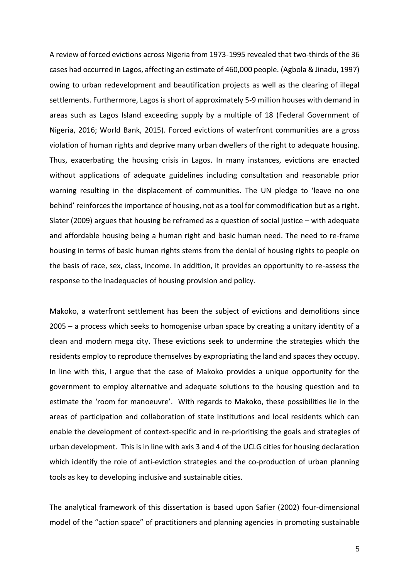A review of forced evictions across Nigeria from 1973-1995 revealed that two-thirds of the 36 cases had occurred in Lagos, affecting an estimate of 460,000 people. (Agbola & Jinadu, 1997) owing to urban redevelopment and beautification projects as well as the clearing of illegal settlements. Furthermore, Lagos is short of approximately 5-9 million houses with demand in areas such as Lagos Island exceeding supply by a multiple of 18 (Federal Government of Nigeria, 2016; World Bank, 2015). Forced evictions of waterfront communities are a gross violation of human rights and deprive many urban dwellers of the right to adequate housing. Thus, exacerbating the housing crisis in Lagos. In many instances, evictions are enacted without applications of adequate guidelines including consultation and reasonable prior warning resulting in the displacement of communities. The UN pledge to 'leave no one behind' reinforces the importance of housing, not as a tool for commodification but as a right. Slater (2009) argues that housing be reframed as a question of social justice – with adequate and affordable housing being a human right and basic human need. The need to re-frame housing in terms of basic human rights stems from the denial of housing rights to people on the basis of race, sex, class, income. In addition, it provides an opportunity to re-assess the response to the inadequacies of housing provision and policy.

Makoko, a waterfront settlement has been the subject of evictions and demolitions since 2005 – a process which seeks to homogenise urban space by creating a unitary identity of a clean and modern mega city. These evictions seek to undermine the strategies which the residents employ to reproduce themselves by expropriating the land and spaces they occupy. In line with this, I argue that the case of Makoko provides a unique opportunity for the government to employ alternative and adequate solutions to the housing question and to estimate the 'room for manoeuvre'. With regards to Makoko, these possibilities lie in the areas of participation and collaboration of state institutions and local residents which can enable the development of context-specific and in re-prioritising the goals and strategies of urban development. This is in line with axis 3 and 4 of the UCLG cities for housing declaration which identify the role of anti-eviction strategies and the co-production of urban planning tools as key to developing inclusive and sustainable cities.

The analytical framework of this dissertation is based upon Safier (2002) four-dimensional model of the "action space" of practitioners and planning agencies in promoting sustainable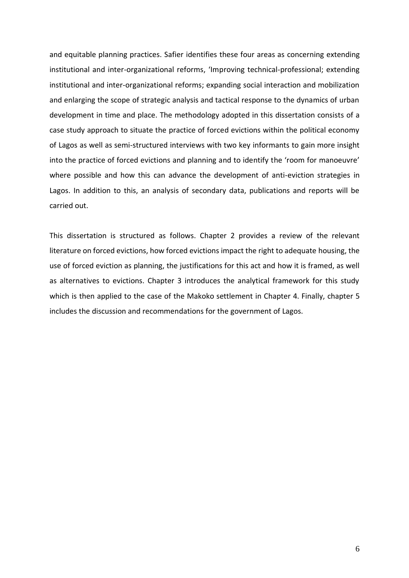and equitable planning practices. Safier identifies these four areas as concerning extending institutional and inter-organizational reforms, 'Improving technical-professional; extending institutional and inter-organizational reforms; expanding social interaction and mobilization and enlarging the scope of strategic analysis and tactical response to the dynamics of urban development in time and place. The methodology adopted in this dissertation consists of a case study approach to situate the practice of forced evictions within the political economy of Lagos as well as semi-structured interviews with two key informants to gain more insight into the practice of forced evictions and planning and to identify the 'room for manoeuvre' where possible and how this can advance the development of anti-eviction strategies in Lagos. In addition to this, an analysis of secondary data, publications and reports will be carried out.

This dissertation is structured as follows. Chapter 2 provides a review of the relevant literature on forced evictions, how forced evictions impact the right to adequate housing, the use of forced eviction as planning, the justifications for this act and how it is framed, as well as alternatives to evictions. Chapter 3 introduces the analytical framework for this study which is then applied to the case of the Makoko settlement in Chapter 4. Finally, chapter 5 includes the discussion and recommendations for the government of Lagos.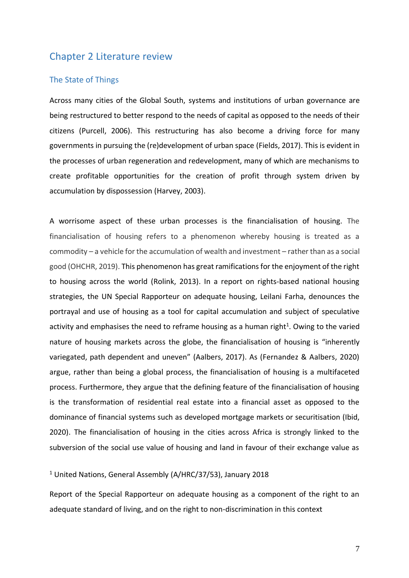# <span id="page-6-0"></span>Chapter 2 Literature review

# <span id="page-6-1"></span>The State of Things

Across many cities of the Global South, systems and institutions of urban governance are being restructured to better respond to the needs of capital as opposed to the needs of their citizens (Purcell, 2006). This restructuring has also become a driving force for many governments in pursuing the (re)development of urban space (Fields, 2017). This is evident in the processes of urban regeneration and redevelopment, many of which are mechanisms to create profitable opportunities for the creation of profit through system driven by accumulation by dispossession (Harvey, 2003).

A worrisome aspect of these urban processes is the financialisation of housing. The financialisation of housing refers to a phenomenon whereby housing is treated as a commodity – a vehicle for the accumulation of wealth and investment – rather than as a social good (OHCHR, 2019). This phenomenon has great ramifications for the enjoyment of the right to housing across the world (Rolink, 2013). In a report on rights-based national housing strategies, the UN Special Rapporteur on adequate housing, Leilani Farha, denounces the portrayal and use of housing as a tool for capital accumulation and subject of speculative activity and emphasises the need to reframe housing as a human right<sup>1</sup>. Owing to the varied nature of housing markets across the globe, the financialisation of housing is "inherently variegated, path dependent and uneven" (Aalbers, 2017). As (Fernandez & Aalbers, 2020) argue, rather than being a global process, the financialisation of housing is a multifaceted process. Furthermore, they argue that the defining feature of the financialisation of housing is the transformation of residential real estate into a financial asset as opposed to the dominance of financial systems such as developed mortgage markets or securitisation (Ibid, 2020). The financialisation of housing in the cities across Africa is strongly linked to the subversion of the social use value of housing and land in favour of their exchange value as

### <sup>1</sup> United Nations, General Assembly (A/HRC/37/53), January 2018

Report of the Special Rapporteur on adequate housing as a component of the right to an adequate standard of living, and on the right to non-discrimination in this context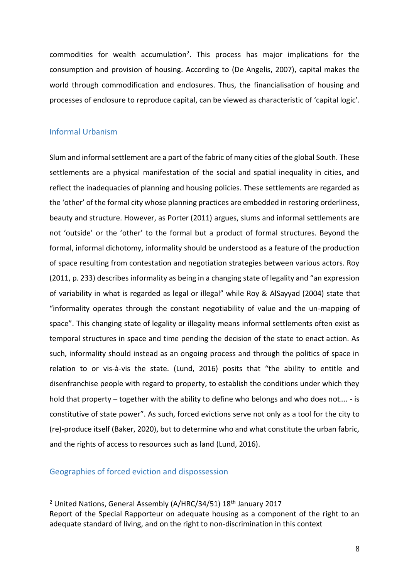commodities for wealth accumulation<sup>2</sup>. This process has major implications for the consumption and provision of housing. According to (De Angelis, 2007), capital makes the world through commodification and enclosures. Thus, the financialisation of housing and processes of enclosure to reproduce capital, can be viewed as characteristic of 'capital logic'.

# <span id="page-7-0"></span>Informal Urbanism

Slum and informal settlement are a part of the fabric of many cities of the global South. These settlements are a physical manifestation of the social and spatial inequality in cities, and reflect the inadequacies of planning and housing policies. These settlements are regarded as the 'other' of the formal city whose planning practices are embedded in restoring orderliness, beauty and structure. However, as Porter (2011) argues, slums and informal settlements are not 'outside' or the 'other' to the formal but a product of formal structures. Beyond the formal, informal dichotomy, informality should be understood as a feature of the production of space resulting from contestation and negotiation strategies between various actors. Roy (2011, p. 233) describes informality as being in a changing state of legality and "an expression of variability in what is regarded as legal or illegal" while Roy & AlSayyad (2004) state that "informality operates through the constant negotiability of value and the un-mapping of space". This changing state of legality or illegality means informal settlements often exist as temporal structures in space and time pending the decision of the state to enact action. As such, informality should instead as an ongoing process and through the politics of space in relation to or vis-à-vis the state. (Lund, 2016) posits that "the ability to entitle and disenfranchise people with regard to property, to establish the conditions under which they hold that property – together with the ability to define who belongs and who does not…. - is constitutive of state power". As such, forced evictions serve not only as a tool for the city to (re)-produce itself (Baker, 2020), but to determine who and what constitute the urban fabric, and the rights of access to resources such as land (Lund, 2016).

# <span id="page-7-1"></span>Geographies of forced eviction and dispossession

<sup>2</sup> United Nations, General Assembly (A/HRC/34/51) 18<sup>th</sup> January 2017 Report of the Special Rapporteur on adequate housing as a component of the right to an adequate standard of living, and on the right to non-discrimination in this context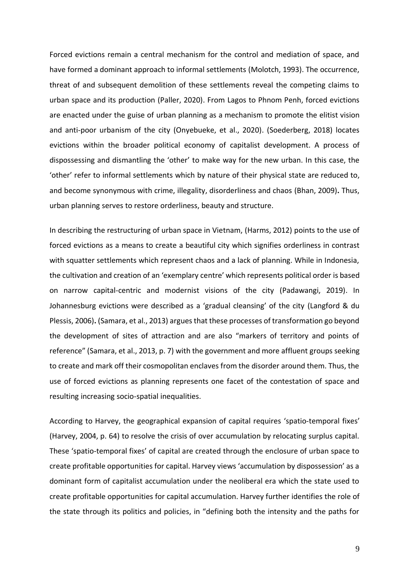Forced evictions remain a central mechanism for the control and mediation of space, and have formed a dominant approach to informal settlements (Molotch, 1993). The occurrence, threat of and subsequent demolition of these settlements reveal the competing claims to urban space and its production (Paller, 2020). From Lagos to Phnom Penh, forced evictions are enacted under the guise of urban planning as a mechanism to promote the elitist vision and anti-poor urbanism of the city (Onyebueke, et al., 2020). (Soederberg, 2018) locates evictions within the broader political economy of capitalist development. A process of dispossessing and dismantling the 'other' to make way for the new urban. In this case, the 'other' refer to informal settlements which by nature of their physical state are reduced to, and become synonymous with crime, illegality, disorderliness and chaos (Bhan, 2009)**.** Thus, urban planning serves to restore orderliness, beauty and structure.

In describing the restructuring of urban space in Vietnam, (Harms, 2012) points to the use of forced evictions as a means to create a beautiful city which signifies orderliness in contrast with squatter settlements which represent chaos and a lack of planning. While in Indonesia, the cultivation and creation of an 'exemplary centre' which represents political order is based on narrow capital-centric and modernist visions of the city (Padawangi, 2019). In Johannesburg evictions were described as a 'gradual cleansing' of the city (Langford & du Plessis, 2006)**.** (Samara, et al., 2013) argues that these processes of transformation go beyond the development of sites of attraction and are also "markers of territory and points of reference" (Samara, et al., 2013, p. 7) with the government and more affluent groups seeking to create and mark off their cosmopolitan enclaves from the disorder around them. Thus, the use of forced evictions as planning represents one facet of the contestation of space and resulting increasing socio-spatial inequalities.

According to Harvey, the geographical expansion of capital requires 'spatio-temporal fixes' (Harvey, 2004, p. 64) to resolve the crisis of over accumulation by relocating surplus capital. These 'spatio-temporal fixes' of capital are created through the enclosure of urban space to create profitable opportunities for capital. Harvey views 'accumulation by dispossession' as a dominant form of capitalist accumulation under the neoliberal era which the state used to create profitable opportunities for capital accumulation. Harvey further identifies the role of the state through its politics and policies, in "defining both the intensity and the paths for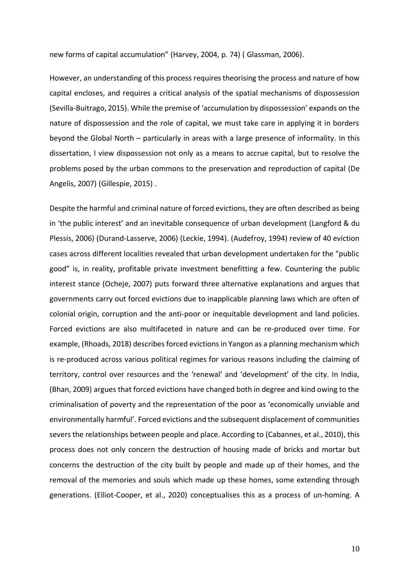new forms of capital accumulation" (Harvey, 2004, p. 74) ( Glassman, 2006).

However, an understanding of this process requires theorising the process and nature of how capital encloses, and requires a critical analysis of the spatial mechanisms of dispossession (Sevilla-Buitrago, 2015). While the premise of 'accumulation by dispossession' expands on the nature of dispossession and the role of capital, we must take care in applying it in borders beyond the Global North – particularly in areas with a large presence of informality. In this dissertation, I view dispossession not only as a means to accrue capital, but to resolve the problems posed by the urban commons to the preservation and reproduction of capital (De Angelis, 2007) (Gillespie, 2015) .

Despite the harmful and criminal nature of forced evictions, they are often described as being in 'the public interest' and an inevitable consequence of urban development (Langford & du Plessis, 2006) (Durand-Lasserve, 2006) (Leckie, 1994). (Audefroy, 1994) review of 40 eviction cases across different localities revealed that urban development undertaken for the "public good" is, in reality, profitable private investment benefitting a few. Countering the public interest stance (Ocheje, 2007) puts forward three alternative explanations and argues that governments carry out forced evictions due to inapplicable planning laws which are often of colonial origin, corruption and the anti-poor or inequitable development and land policies. Forced evictions are also multifaceted in nature and can be re-produced over time. For example, (Rhoads, 2018) describes forced evictions in Yangon as a planning mechanism which is re-produced across various political regimes for various reasons including the claiming of territory, control over resources and the 'renewal' and 'development' of the city. In India, (Bhan, 2009) argues that forced evictions have changed both in degree and kind owing to the criminalisation of poverty and the representation of the poor as 'economically unviable and environmentally harmful'. Forced evictions and the subsequent displacement of communities severs the relationships between people and place. According to (Cabannes, et al., 2010), this process does not only concern the destruction of housing made of bricks and mortar but concerns the destruction of the city built by people and made up of their homes, and the removal of the memories and souls which made up these homes, some extending through generations. (Elliot-Cooper, et al., 2020) conceptualises this as a process of un-homing. A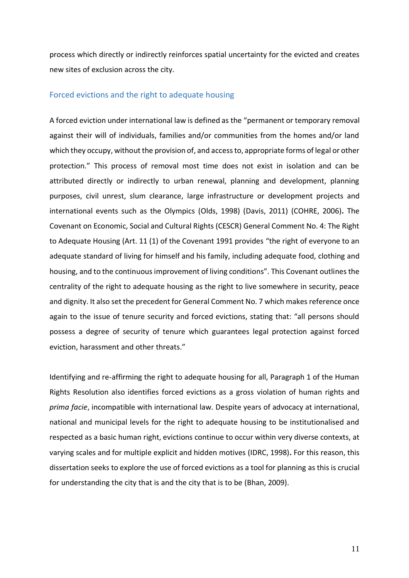process which directly or indirectly reinforces spatial uncertainty for the evicted and creates new sites of exclusion across the city.

# <span id="page-10-0"></span>Forced evictions and the right to adequate housing

A forced eviction under international law is defined as the "permanent or temporary removal against their will of individuals, families and/or communities from the homes and/or land which they occupy, without the provision of, and access to, appropriate forms of legal or other protection." This process of removal most time does not exist in isolation and can be attributed directly or indirectly to urban renewal, planning and development, planning purposes, civil unrest, slum clearance, large infrastructure or development projects and international events such as the Olympics (Olds, 1998) (Davis, 2011) (COHRE, 2006)**.** The Covenant on Economic, Social and Cultural Rights (CESCR) General Comment No. 4: The Right to Adequate Housing (Art. 11 (1) of the Covenant 1991 provides "the right of everyone to an adequate standard of living for himself and his family, including adequate food, clothing and housing, and to the continuous improvement of living conditions". This Covenant outlines the centrality of the right to adequate housing as the right to live somewhere in security, peace and dignity. It also set the precedent for General Comment No. 7 which makes reference once again to the issue of tenure security and forced evictions, stating that: "all persons should possess a degree of security of tenure which guarantees legal protection against forced eviction, harassment and other threats."

Identifying and re-affirming the right to adequate housing for all, Paragraph 1 of the Human Rights Resolution also identifies forced evictions as a gross violation of human rights and *prima facie*, incompatible with international law. Despite years of advocacy at international, national and municipal levels for the right to adequate housing to be institutionalised and respected as a basic human right, evictions continue to occur within very diverse contexts, at varying scales and for multiple explicit and hidden motives (IDRC, 1998)**.** For this reason, this dissertation seeks to explore the use of forced evictions as a tool for planning as this is crucial for understanding the city that is and the city that is to be (Bhan, 2009).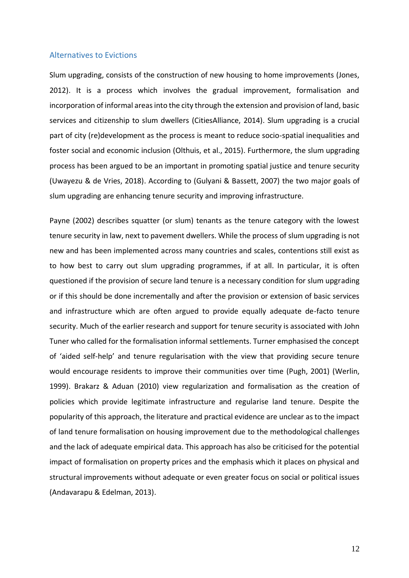## <span id="page-11-0"></span>Alternatives to Evictions

Slum upgrading, consists of the construction of new housing to home improvements (Jones, 2012). It is a process which involves the gradual improvement, formalisation and incorporation of informal areas into the city through the extension and provision of land, basic services and citizenship to slum dwellers (CitiesAlliance, 2014). Slum upgrading is a crucial part of city (re)development as the process is meant to reduce socio-spatial inequalities and foster social and economic inclusion (Olthuis, et al., 2015). Furthermore, the slum upgrading process has been argued to be an important in promoting spatial justice and tenure security (Uwayezu & de Vries, 2018). According to (Gulyani & Bassett, 2007) the two major goals of slum upgrading are enhancing tenure security and improving infrastructure.

Payne (2002) describes squatter (or slum) tenants as the tenure category with the lowest tenure security in law, next to pavement dwellers. While the process of slum upgrading is not new and has been implemented across many countries and scales, contentions still exist as to how best to carry out slum upgrading programmes, if at all. In particular, it is often questioned if the provision of secure land tenure is a necessary condition for slum upgrading or if this should be done incrementally and after the provision or extension of basic services and infrastructure which are often argued to provide equally adequate de-facto tenure security. Much of the earlier research and support for tenure security is associated with John Tuner who called for the formalisation informal settlements. Turner emphasised the concept of 'aided self-help' and tenure regularisation with the view that providing secure tenure would encourage residents to improve their communities over time (Pugh, 2001) (Werlin, 1999). Brakarz & Aduan (2010) view regularization and formalisation as the creation of policies which provide legitimate infrastructure and regularise land tenure. Despite the popularity of this approach, the literature and practical evidence are unclear as to the impact of land tenure formalisation on housing improvement due to the methodological challenges and the lack of adequate empirical data. This approach has also be criticised for the potential impact of formalisation on property prices and the emphasis which it places on physical and structural improvements without adequate or even greater focus on social or political issues (Andavarapu & Edelman, 2013).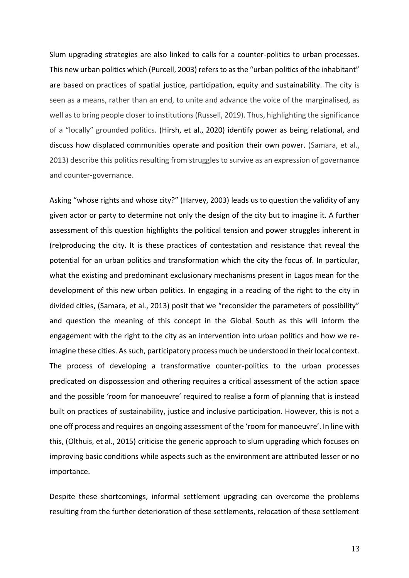Slum upgrading strategies are also linked to calls for a counter-politics to urban processes. This new urban politics which (Purcell, 2003) refers to as the "urban politics of the inhabitant" are based on practices of spatial justice, participation, equity and sustainability. The city is seen as a means, rather than an end, to unite and advance the voice of the marginalised, as well as to bring people closer to institutions (Russell, 2019). Thus, highlighting the significance of a "locally" grounded politics. (Hirsh, et al., 2020) identify power as being relational, and discuss how displaced communities operate and position their own power. (Samara, et al., 2013) describe this politics resulting from struggles to survive as an expression of governance and counter-governance.

Asking "whose rights and whose city?" (Harvey, 2003) leads us to question the validity of any given actor or party to determine not only the design of the city but to imagine it. A further assessment of this question highlights the political tension and power struggles inherent in (re)producing the city. It is these practices of contestation and resistance that reveal the potential for an urban politics and transformation which the city the focus of. In particular, what the existing and predominant exclusionary mechanisms present in Lagos mean for the development of this new urban politics. In engaging in a reading of the right to the city in divided cities, (Samara, et al., 2013) posit that we "reconsider the parameters of possibility" and question the meaning of this concept in the Global South as this will inform the engagement with the right to the city as an intervention into urban politics and how we reimagine these cities. As such, participatory process much be understood in their local context. The process of developing a transformative counter-politics to the urban processes predicated on dispossession and othering requires a critical assessment of the action space and the possible 'room for manoeuvre' required to realise a form of planning that is instead built on practices of sustainability, justice and inclusive participation. However, this is not a one off process and requires an ongoing assessment of the 'room for manoeuvre'. In line with this, (Olthuis, et al., 2015) criticise the generic approach to slum upgrading which focuses on improving basic conditions while aspects such as the environment are attributed lesser or no importance.

Despite these shortcomings, informal settlement upgrading can overcome the problems resulting from the further deterioration of these settlements, relocation of these settlement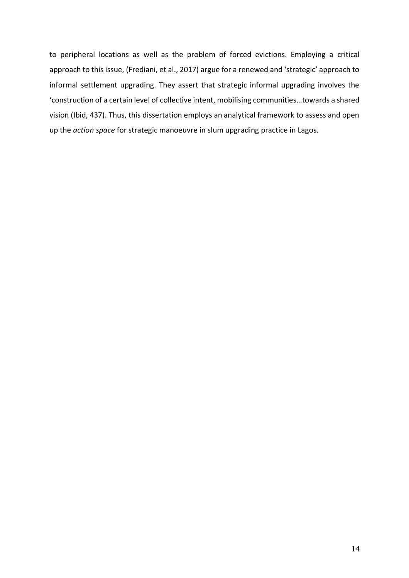to peripheral locations as well as the problem of forced evictions. Employing a critical approach to this issue, (Frediani, et al., 2017) argue for a renewed and 'strategic' approach to informal settlement upgrading. They assert that strategic informal upgrading involves the 'construction of a certain level of collective intent, mobilising communities…towards a shared vision (Ibid, 437). Thus, this dissertation employs an analytical framework to assess and open up the *action space* for strategic manoeuvre in slum upgrading practice in Lagos.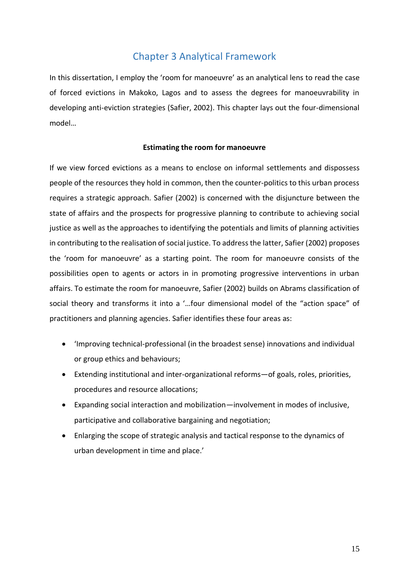# Chapter 3 Analytical Framework

<span id="page-14-0"></span>In this dissertation, I employ the 'room for manoeuvre' as an analytical lens to read the case of forced evictions in Makoko, Lagos and to assess the degrees for manoeuvrability in developing anti-eviction strategies (Safier, 2002). This chapter lays out the four-dimensional model…

# **Estimating the room for manoeuvre**

If we view forced evictions as a means to enclose on informal settlements and dispossess people of the resources they hold in common, then the counter-politics to this urban process requires a strategic approach. Safier (2002) is concerned with the disjuncture between the state of affairs and the prospects for progressive planning to contribute to achieving social justice as well as the approaches to identifying the potentials and limits of planning activities in contributing to the realisation of social justice. To address the latter, Safier (2002) proposes the 'room for manoeuvre' as a starting point. The room for manoeuvre consists of the possibilities open to agents or actors in in promoting progressive interventions in urban affairs. To estimate the room for manoeuvre, Safier (2002) builds on Abrams classification of social theory and transforms it into a '…four dimensional model of the "action space" of practitioners and planning agencies. Safier identifies these four areas as:

- 'Improving technical-professional (in the broadest sense) innovations and individual or group ethics and behaviours;
- Extending institutional and inter-organizational reforms—of goals, roles, priorities, procedures and resource allocations;
- Expanding social interaction and mobilization—involvement in modes of inclusive, participative and collaborative bargaining and negotiation;
- Enlarging the scope of strategic analysis and tactical response to the dynamics of urban development in time and place.'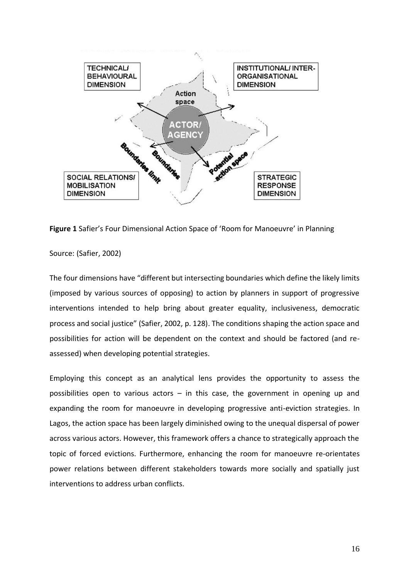

**Figure 1** Safier's Four Dimensional Action Space of 'Room for Manoeuvre' in Planning

Source: (Safier, 2002)

The four dimensions have "different but intersecting boundaries which define the likely limits (imposed by various sources of opposing) to action by planners in support of progressive interventions intended to help bring about greater equality, inclusiveness, democratic process and social justice" (Safier, 2002, p. 128). The conditions shaping the action space and possibilities for action will be dependent on the context and should be factored (and reassessed) when developing potential strategies.

Employing this concept as an analytical lens provides the opportunity to assess the possibilities open to various actors – in this case, the government in opening up and expanding the room for manoeuvre in developing progressive anti-eviction strategies. In Lagos, the action space has been largely diminished owing to the unequal dispersal of power across various actors. However, this framework offers a chance to strategically approach the topic of forced evictions. Furthermore, enhancing the room for manoeuvre re-orientates power relations between different stakeholders towards more socially and spatially just interventions to address urban conflicts.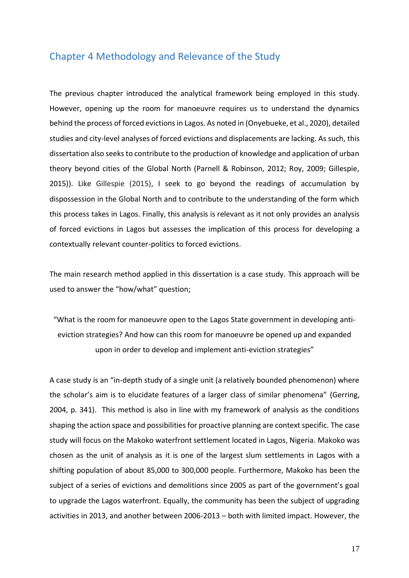# <span id="page-16-0"></span>Chapter 4 Methodology and Relevance of the Study

The previous chapter introduced the analytical framework being employed in this study. However, opening up the room for manoeuvre requires us to understand the dynamics behind the process of forced evictions in Lagos. As noted in (Onyebueke, et al., 2020), detailed studies and city-level analyses of forced evictions and displacements are lacking. As such, this dissertation also seeks to contribute to the production of knowledge and application of urban theory beyond cities of the Global North (Parnell & Robinson, 2012; Roy, 2009; Gillespie, 2015)). Like Gillespie (2015), I seek to go beyond the readings of accumulation by dispossession in the Global North and to contribute to the understanding of the form which this process takes in Lagos. Finally, this analysis is relevant as it not only provides an analysis of forced evictions in Lagos but assesses the implication of this process for developing a contextually relevant counter-politics to forced evictions.

The main research method applied in this dissertation is a case study. This approach will be used to answer the "how/what" question;

"What is the room for manoeuvre open to the Lagos State government in developing antieviction strategies? And how can this room for manoeuvre be opened up and expanded upon in order to develop and implement anti-eviction strategies"

A case study is an "in-depth study of a single unit (a relatively bounded phenomenon) where the scholar's aim is to elucidate features of a larger class of similar phenomena" (Gerring, 2004, p. 341). This method is also in line with my framework of analysis as the conditions shaping the action space and possibilities for proactive planning are context specific. The case study will focus on the Makoko waterfront settlement located in Lagos, Nigeria. Makoko was chosen as the unit of analysis as it is one of the largest slum settlements in Lagos with a shifting population of about 85,000 to 300,000 people. Furthermore, Makoko has been the subject of a series of evictions and demolitions since 2005 as part of the government's goal to upgrade the Lagos waterfront. Equally, the community has been the subject of upgrading activities in 2013, and another between 2006-2013 – both with limited impact. However, the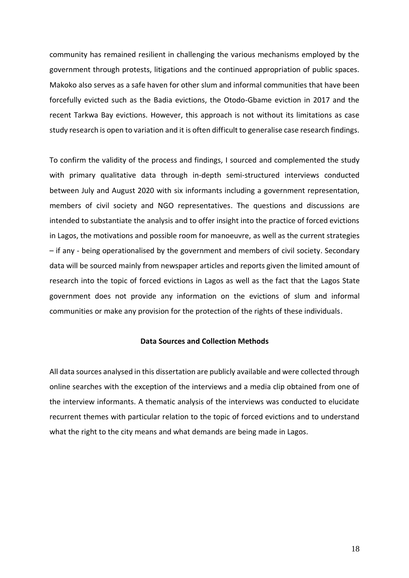community has remained resilient in challenging the various mechanisms employed by the government through protests, litigations and the continued appropriation of public spaces. Makoko also serves as a safe haven for other slum and informal communities that have been forcefully evicted such as the Badia evictions, the Otodo-Gbame eviction in 2017 and the recent Tarkwa Bay evictions. However, this approach is not without its limitations as case study research is open to variation and it is often difficult to generalise case research findings.

To confirm the validity of the process and findings, I sourced and complemented the study with primary qualitative data through in-depth semi-structured interviews conducted between July and August 2020 with six informants including a government representation, members of civil society and NGO representatives. The questions and discussions are intended to substantiate the analysis and to offer insight into the practice of forced evictions in Lagos, the motivations and possible room for manoeuvre, as well as the current strategies – if any - being operationalised by the government and members of civil society. Secondary data will be sourced mainly from newspaper articles and reports given the limited amount of research into the topic of forced evictions in Lagos as well as the fact that the Lagos State government does not provide any information on the evictions of slum and informal communities or make any provision for the protection of the rights of these individuals.

## **Data Sources and Collection Methods**

All data sources analysed in this dissertation are publicly available and were collected through online searches with the exception of the interviews and a media clip obtained from one of the interview informants. A thematic analysis of the interviews was conducted to elucidate recurrent themes with particular relation to the topic of forced evictions and to understand what the right to the city means and what demands are being made in Lagos.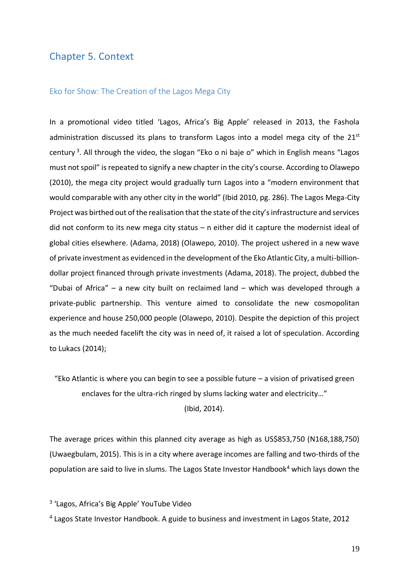# <span id="page-18-0"></span>Chapter 5. Context

#### <span id="page-18-1"></span>Eko for Show: The Creation of the Lagos Mega City

In a promotional video titled 'Lagos, Africa's Big Apple' released in 2013, the Fashola administration discussed its plans to transform Lagos into a model mega city of the  $21^{st}$ century<sup>3</sup>. All through the video, the slogan "Eko o ni baje o" which in English means "Lagos must not spoil" is repeated to signify a new chapter in the city's course. According to Olawepo (2010), the mega city project would gradually turn Lagos into a "modern environment that would comparable with any other city in the world" (Ibid 2010, pg. 286). The Lagos Mega-City Project was birthed out of the realisation that the state of the city's infrastructure and services did not conform to its new mega city status – n either did it capture the modernist ideal of global cities elsewhere. (Adama, 2018) (Olawepo, 2010). The project ushered in a new wave of private investment as evidenced in the development of the Eko Atlantic City, a multi-billiondollar project financed through private investments (Adama, 2018). The project, dubbed the "Dubai of Africa" – a new city built on reclaimed land – which was developed through a private-public partnership. This venture aimed to consolidate the new cosmopolitan experience and house 250,000 people (Olawepo, 2010). Despite the depiction of this project as the much needed facelift the city was in need of, it raised a lot of speculation. According to Lukacs (2014);

"Eko Atlantic is where you can begin to see a possible future  $-$  a vision of privatised green enclaves for the ultra-rich ringed by slums lacking water and electricity…" (Ibid, 2014).

The average prices within this planned city average as high as US\$853,750 (N168,188,750) (Uwaegbulam, 2015). This is in a city where average incomes are falling and two-thirds of the population are said to live in slums. The Lagos State Investor Handbook<sup>4</sup> which lays down the

<sup>3</sup> 'Lagos, Africa's Big Apple' YouTube Video

<sup>4</sup> Lagos State Investor Handbook. A guide to business and investment in Lagos State, 2012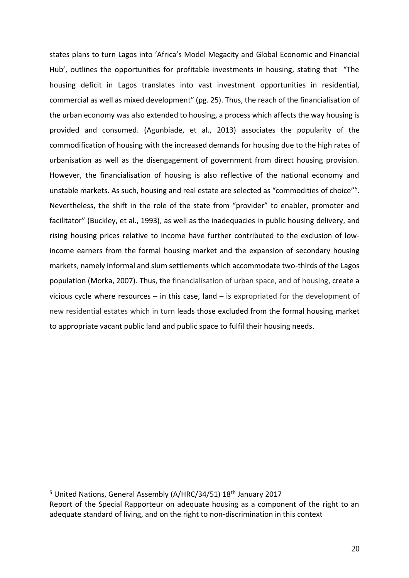states plans to turn Lagos into 'Africa's Model Megacity and Global Economic and Financial Hub', outlines the opportunities for profitable investments in housing, stating that "The housing deficit in Lagos translates into vast investment opportunities in residential, commercial as well as mixed development" (pg. 25). Thus, the reach of the financialisation of the urban economy was also extended to housing, a process which affects the way housing is provided and consumed. (Agunbiade, et al., 2013) associates the popularity of the commodification of housing with the increased demands for housing due to the high rates of urbanisation as well as the disengagement of government from direct housing provision. However, the financialisation of housing is also reflective of the national economy and unstable markets. As such, housing and real estate are selected as "commodities of choice"<sup>5</sup>. Nevertheless, the shift in the role of the state from "provider" to enabler, promoter and facilitator" (Buckley, et al., 1993), as well as the inadequacies in public housing delivery, and rising housing prices relative to income have further contributed to the exclusion of lowincome earners from the formal housing market and the expansion of secondary housing markets, namely informal and slum settlements which accommodate two-thirds of the Lagos population (Morka, 2007). Thus, the financialisation of urban space, and of housing, create a vicious cycle where resources – in this case, land – is expropriated for the development of new residential estates which in turn leads those excluded from the formal housing market to appropriate vacant public land and public space to fulfil their housing needs.

<sup>5</sup> United Nations, General Assembly (A/HRC/34/51) 18<sup>th</sup> January 2017 Report of the Special Rapporteur on adequate housing as a component of the right to an adequate standard of living, and on the right to non-discrimination in this context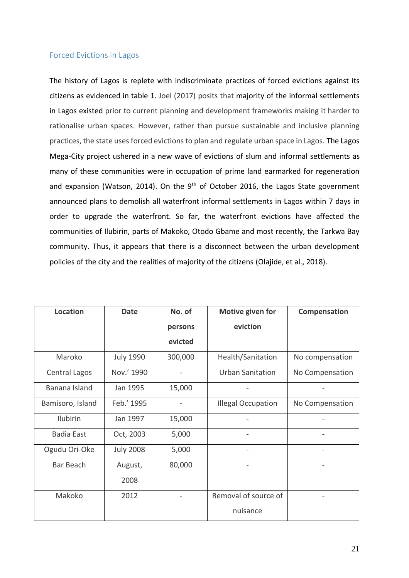# <span id="page-20-0"></span>Forced Evictions in Lagos

The history of Lagos is replete with indiscriminate practices of forced evictions against its citizens as evidenced in table 1. Joel (2017) posits that majority of the informal settlements in Lagos existed prior to current planning and development frameworks making it harder to rationalise urban spaces. However, rather than pursue sustainable and inclusive planning practices, the state uses forced evictions to plan and regulate urban space in Lagos. The Lagos Mega-City project ushered in a new wave of evictions of slum and informal settlements as many of these communities were in occupation of prime land earmarked for regeneration and expansion (Watson, 2014). On the  $9<sup>th</sup>$  of October 2016, the Lagos State government announced plans to demolish all waterfront informal settlements in Lagos within 7 days in order to upgrade the waterfront. So far, the waterfront evictions have affected the communities of Ilubirin, parts of Makoko, Otodo Gbame and most recently, the Tarkwa Bay community. Thus, it appears that there is a disconnect between the urban development policies of the city and the realities of majority of the citizens (Olajide, et al., 2018).

| <b>Location</b>  | <b>Date</b>      | No. of  | Motive given for          | Compensation    |
|------------------|------------------|---------|---------------------------|-----------------|
|                  |                  | persons | eviction                  |                 |
|                  |                  | evicted |                           |                 |
| Maroko           | <b>July 1990</b> | 300,000 | Health/Sanitation         | No compensation |
| Central Lagos    | Nov.' 1990       |         | <b>Urban Sanitation</b>   | No Compensation |
| Banana Island    | Jan 1995         | 15,000  |                           |                 |
| Bamisoro, Island | Feb.' 1995       |         | <b>Illegal Occupation</b> | No Compensation |
| Ilubirin         | Jan 1997         | 15,000  |                           |                 |
| Badia East       | Oct, 2003        | 5,000   |                           |                 |
| Ogudu Ori-Oke    | <b>July 2008</b> | 5,000   |                           |                 |
| Bar Beach        | August,          | 80,000  |                           |                 |
|                  | 2008             |         |                           |                 |
| Makoko           | 2012             |         | Removal of source of      |                 |
|                  |                  |         | nuisance                  |                 |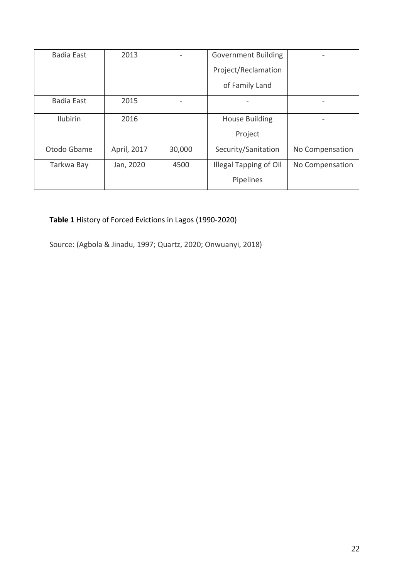| <b>Badia East</b> | 2013        |        | <b>Government Building</b>    |                 |
|-------------------|-------------|--------|-------------------------------|-----------------|
|                   |             |        | Project/Reclamation           |                 |
|                   |             |        | of Family Land                |                 |
| <b>Badia East</b> | 2015        |        |                               |                 |
| <b>Ilubirin</b>   | 2016        |        | <b>House Building</b>         |                 |
|                   |             |        | Project                       |                 |
| Otodo Gbame       | April, 2017 | 30,000 | Security/Sanitation           | No Compensation |
| Tarkwa Bay        | Jan, 2020   | 4500   | <b>Illegal Tapping of Oil</b> | No Compensation |
|                   |             |        | Pipelines                     |                 |

# **Table 1** History of Forced Evictions in Lagos (1990-2020)

Source: (Agbola & Jinadu, 1997; Quartz, 2020; Onwuanyi, 2018)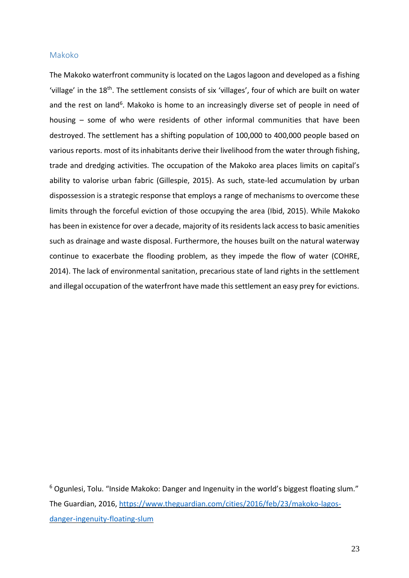### <span id="page-22-0"></span>Makoko

The Makoko waterfront community is located on the Lagos lagoon and developed as a fishing 'village' in the 18<sup>th</sup>. The settlement consists of six 'villages', four of which are built on water and the rest on land<sup>6</sup>. Makoko is home to an increasingly diverse set of people in need of housing – some of who were residents of other informal communities that have been destroyed. The settlement has a shifting population of 100,000 to 400,000 people based on various reports. most of its inhabitants derive their livelihood from the water through fishing, trade and dredging activities. The occupation of the Makoko area places limits on capital's ability to valorise urban fabric (Gillespie, 2015). As such, state-led accumulation by urban dispossession is a strategic response that employs a range of mechanisms to overcome these limits through the forceful eviction of those occupying the area (Ibid, 2015). While Makoko has been in existence for over a decade, majority of its residents lack access to basic amenities such as drainage and waste disposal. Furthermore, the houses built on the natural waterway continue to exacerbate the flooding problem, as they impede the flow of water (COHRE, 2014). The lack of environmental sanitation, precarious state of land rights in the settlement and illegal occupation of the waterfront have made this settlement an easy prey for evictions.

<sup>6</sup> Ogunlesi, Tolu. "Inside Makoko: Danger and Ingenuity in the world's biggest floating slum." The Guardian, 2016, [https://www.theguardian.com/cities/2016/feb/23/makoko-lagos](https://www.theguardian.com/cities/2016/feb/23/makoko-lagos-danger-ingenuity-floating-slum)[danger-ingenuity-floating-slum](https://www.theguardian.com/cities/2016/feb/23/makoko-lagos-danger-ingenuity-floating-slum)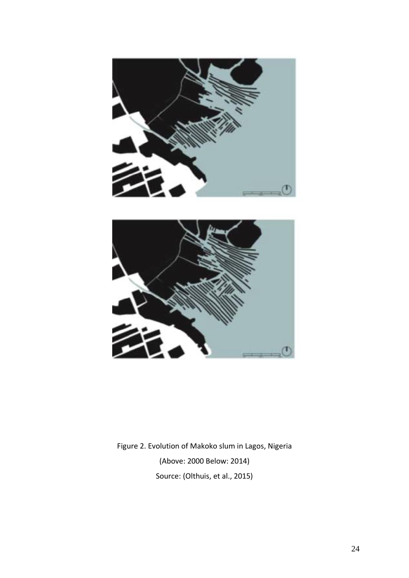



Figure 2. Evolution of Makoko slum in Lagos, Nigeria (Above: 2000 Below: 2014) Source: (Olthuis, et al., 2015)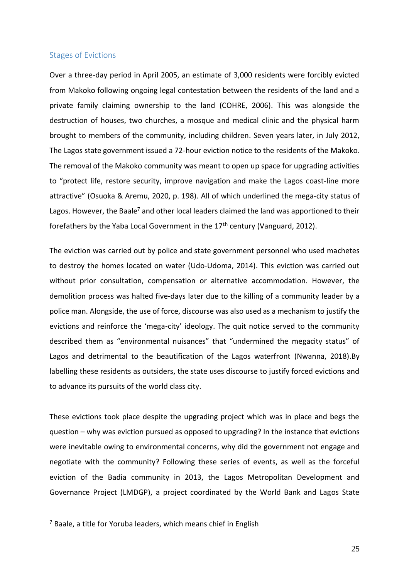## <span id="page-24-0"></span>Stages of Evictions

Over a three-day period in April 2005, an estimate of 3,000 residents were forcibly evicted from Makoko following ongoing legal contestation between the residents of the land and a private family claiming ownership to the land (COHRE, 2006). This was alongside the destruction of houses, two churches, a mosque and medical clinic and the physical harm brought to members of the community, including children. Seven years later, in July 2012, The Lagos state government issued a 72-hour eviction notice to the residents of the Makoko. The removal of the Makoko community was meant to open up space for upgrading activities to "protect life, restore security, improve navigation and make the Lagos coast-line more attractive" (Osuoka & Aremu, 2020, p. 198). All of which underlined the mega-city status of Lagos. However, the Baale<sup>7</sup> and other local leaders claimed the land was apportioned to their forefathers by the Yaba Local Government in the  $17<sup>th</sup>$  century (Vanguard, 2012).

The eviction was carried out by police and state government personnel who used machetes to destroy the homes located on water (Udo-Udoma, 2014). This eviction was carried out without prior consultation, compensation or alternative accommodation. However, the demolition process was halted five-days later due to the killing of a community leader by a police man. Alongside, the use of force, discourse was also used as a mechanism to justify the evictions and reinforce the 'mega-city' ideology. The quit notice served to the community described them as "environmental nuisances" that "undermined the megacity status" of Lagos and detrimental to the beautification of the Lagos waterfront (Nwanna, 2018).By labelling these residents as outsiders, the state uses discourse to justify forced evictions and to advance its pursuits of the world class city.

These evictions took place despite the upgrading project which was in place and begs the question – why was eviction pursued as opposed to upgrading? In the instance that evictions were inevitable owing to environmental concerns, why did the government not engage and negotiate with the community? Following these series of events, as well as the forceful eviction of the Badia community in 2013, the Lagos Metropolitan Development and Governance Project (LMDGP), a project coordinated by the World Bank and Lagos State

 $<sup>7</sup>$  Baale, a title for Yoruba leaders, which means chief in English</sup>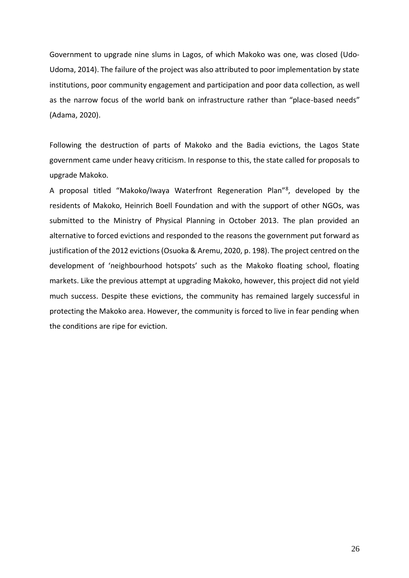Government to upgrade nine slums in Lagos, of which Makoko was one, was closed (Udo-Udoma, 2014). The failure of the project was also attributed to poor implementation by state institutions, poor community engagement and participation and poor data collection, as well as the narrow focus of the world bank on infrastructure rather than "place-based needs" (Adama, 2020).

Following the destruction of parts of Makoko and the Badia evictions, the Lagos State government came under heavy criticism. In response to this, the state called for proposals to upgrade Makoko.

A proposal titled "Makoko/Iwaya Waterfront Regeneration Plan"<sup>8</sup> , developed by the residents of Makoko, Heinrich Boell Foundation and with the support of other NGOs, was submitted to the Ministry of Physical Planning in October 2013. The plan provided an alternative to forced evictions and responded to the reasons the government put forward as justification of the 2012 evictions (Osuoka & Aremu, 2020, p. 198). The project centred on the development of 'neighbourhood hotspots' such as the Makoko floating school, floating markets. Like the previous attempt at upgrading Makoko, however, this project did not yield much success. Despite these evictions, the community has remained largely successful in protecting the Makoko area. However, the community is forced to live in fear pending when the conditions are ripe for eviction.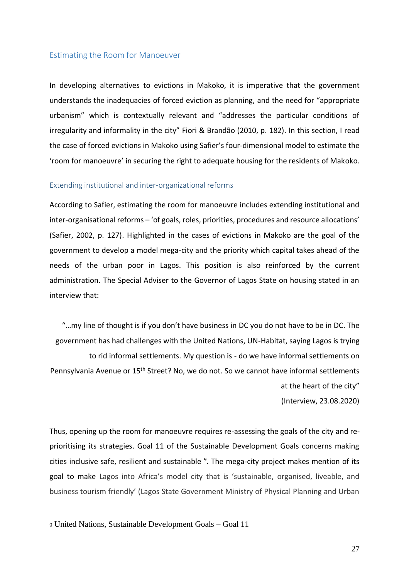## <span id="page-26-0"></span>Estimating the Room for Manoeuver

In developing alternatives to evictions in Makoko, it is imperative that the government understands the inadequacies of forced eviction as planning, and the need for "appropriate urbanism" which is contextually relevant and "addresses the particular conditions of irregularity and informality in the city" Fiori & Brandão (2010, p. 182). In this section, I read the case of forced evictions in Makoko using Safier's four-dimensional model to estimate the 'room for manoeuvre' in securing the right to adequate housing for the residents of Makoko.

#### <span id="page-26-1"></span>Extending institutional and inter-organizational reforms

According to Safier, estimating the room for manoeuvre includes extending institutional and inter-organisational reforms – 'of goals, roles, priorities, procedures and resource allocations' (Safier, 2002, p. 127). Highlighted in the cases of evictions in Makoko are the goal of the government to develop a model mega-city and the priority which capital takes ahead of the needs of the urban poor in Lagos. This position is also reinforced by the current administration. The Special Adviser to the Governor of Lagos State on housing stated in an interview that:

"…my line of thought is if you don't have business in DC you do not have to be in DC. The government has had challenges with the United Nations, UN-Habitat, saying Lagos is trying to rid informal settlements. My question is - do we have informal settlements on Pennsylvania Avenue or 15<sup>th</sup> Street? No, we do not. So we cannot have informal settlements at the heart of the city"

(Interview, 23.08.2020)

Thus, opening up the room for manoeuvre requires re-assessing the goals of the city and reprioritising its strategies. Goal 11 of the Sustainable Development Goals concerns making cities inclusive safe, resilient and sustainable <sup>9</sup>. The mega-city project makes mention of its goal to make Lagos into Africa's model city that is 'sustainable, organised, liveable, and business tourism friendly' (Lagos State Government Ministry of Physical Planning and Urban

<sup>9</sup> United Nations, Sustainable Development Goals – Goal 11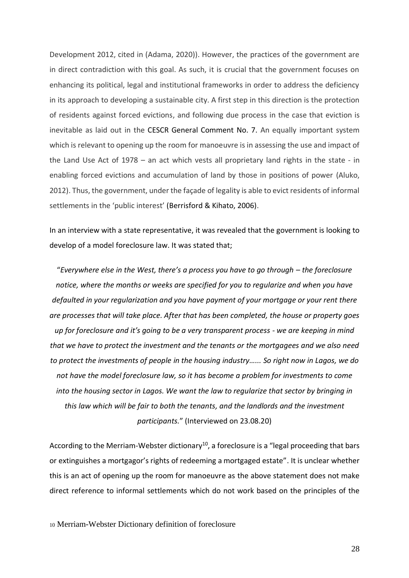Development 2012, cited in (Adama, 2020)). However, the practices of the government are in direct contradiction with this goal. As such, it is crucial that the government focuses on enhancing its political, legal and institutional frameworks in order to address the deficiency in its approach to developing a sustainable city. A first step in this direction is the protection of residents against forced evictions, and following due process in the case that eviction is inevitable as laid out in the CESCR General Comment No. 7. An equally important system which is relevant to opening up the room for manoeuvre is in assessing the use and impact of the Land Use Act of 1978 – an act which vests all proprietary land rights in the state - in enabling forced evictions and accumulation of land by those in positions of power (Aluko, 2012). Thus, the government, under the façade of legality is able to evict residents of informal settlements in the 'public interest' (Berrisford & Kihato, 2006).

In an interview with a state representative, it was revealed that the government is looking to develop of a model foreclosure law. It was stated that;

"*Everywhere else in the West, there's a process you have to go through – the foreclosure notice, where the months or weeks are specified for you to regularize and when you have defaulted in your regularization and you have payment of your mortgage or your rent there are processes that will take place. After that has been completed, the house or property goes up for foreclosure and it's going to be a very transparent process - we are keeping in mind that we have to protect the investment and the tenants or the mortgagees and we also need to protect the investments of people in the housing industry…... So right now in Lagos, we do not have the model foreclosure law, so it has become a problem for investments to come into the housing sector in Lagos. We want the law to regularize that sector by bringing in this law which will be fair to both the tenants, and the landlords and the investment participants.*" (Interviewed on 23.08.20)

According to the Merriam-Webster dictionary<sup>10</sup>, a foreclosure is a "legal proceeding that bars or extinguishes a mortgagor's rights of redeeming a mortgaged estate". It is unclear whether this is an act of opening up the room for manoeuvre as the above statement does not make direct reference to informal settlements which do not work based on the principles of the

<sup>10</sup> Merriam-Webster Dictionary definition of foreclosure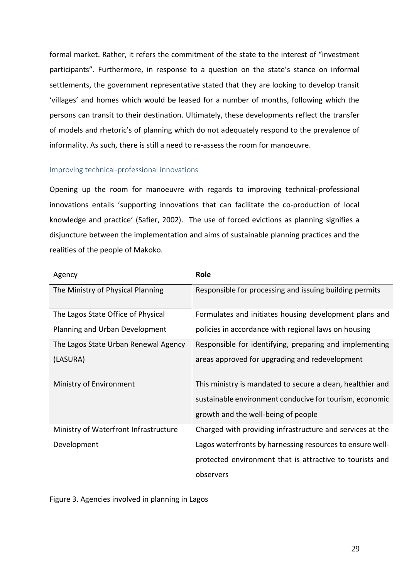formal market. Rather, it refers the commitment of the state to the interest of "investment participants". Furthermore, in response to a question on the state's stance on informal settlements, the government representative stated that they are looking to develop transit 'villages' and homes which would be leased for a number of months, following which the persons can transit to their destination. Ultimately, these developments reflect the transfer of models and rhetoric's of planning which do not adequately respond to the prevalence of informality. As such, there is still a need to re-assess the room for manoeuvre.

## <span id="page-28-0"></span>Improving technical-professional innovations

Opening up the room for manoeuvre with regards to improving technical-professional innovations entails 'supporting innovations that can facilitate the co-production of local knowledge and practice' (Safier, 2002). The use of forced evictions as planning signifies a disjuncture between the implementation and aims of sustainable planning practices and the realities of the people of Makoko.

| Agency                                | Role                                                       |
|---------------------------------------|------------------------------------------------------------|
| The Ministry of Physical Planning     | Responsible for processing and issuing building permits    |
| The Lagos State Office of Physical    | Formulates and initiates housing development plans and     |
| Planning and Urban Development        | policies in accordance with regional laws on housing       |
| The Lagos State Urban Renewal Agency  | Responsible for identifying, preparing and implementing    |
| (LASURA)                              | areas approved for upgrading and redevelopment             |
| Ministry of Environment               | This ministry is mandated to secure a clean, healthier and |
|                                       | sustainable environment conducive for tourism, economic    |
|                                       | growth and the well-being of people                        |
| Ministry of Waterfront Infrastructure | Charged with providing infrastructure and services at the  |
| Development                           | Lagos waterfronts by harnessing resources to ensure well-  |
|                                       | protected environment that is attractive to tourists and   |
|                                       | observers                                                  |

Figure 3. Agencies involved in planning in Lagos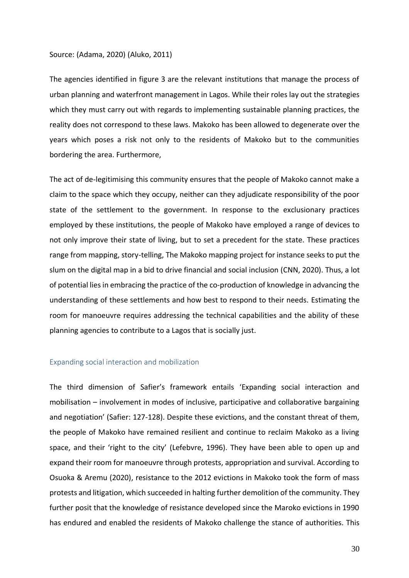#### Source: (Adama, 2020) (Aluko, 2011)

The agencies identified in figure 3 are the relevant institutions that manage the process of urban planning and waterfront management in Lagos. While their roles lay out the strategies which they must carry out with regards to implementing sustainable planning practices, the reality does not correspond to these laws. Makoko has been allowed to degenerate over the years which poses a risk not only to the residents of Makoko but to the communities bordering the area. Furthermore,

The act of de-legitimising this community ensures that the people of Makoko cannot make a claim to the space which they occupy, neither can they adjudicate responsibility of the poor state of the settlement to the government. In response to the exclusionary practices employed by these institutions, the people of Makoko have employed a range of devices to not only improve their state of living, but to set a precedent for the state. These practices range from mapping, story-telling, The Makoko mapping project for instance seeks to put the slum on the digital map in a bid to drive financial and social inclusion (CNN, 2020). Thus, a lot of potential lies in embracing the practice of the co-production of knowledge in advancing the understanding of these settlements and how best to respond to their needs. Estimating the room for manoeuvre requires addressing the technical capabilities and the ability of these planning agencies to contribute to a Lagos that is socially just.

#### <span id="page-29-0"></span>Expanding social interaction and mobilization

The third dimension of Safier's framework entails 'Expanding social interaction and mobilisation – involvement in modes of inclusive, participative and collaborative bargaining and negotiation' (Safier: 127-128). Despite these evictions, and the constant threat of them, the people of Makoko have remained resilient and continue to reclaim Makoko as a living space, and their 'right to the city' (Lefebvre, 1996). They have been able to open up and expand their room for manoeuvre through protests, appropriation and survival. According to Osuoka & Aremu (2020), resistance to the 2012 evictions in Makoko took the form of mass protests and litigation, which succeeded in halting further demolition of the community. They further posit that the knowledge of resistance developed since the Maroko evictions in 1990 has endured and enabled the residents of Makoko challenge the stance of authorities. This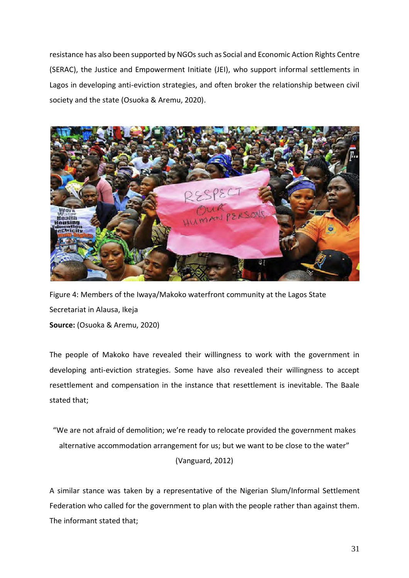resistance has also been supported by NGOs such as Social and Economic Action Rights Centre (SERAC), the Justice and Empowerment Initiate (JEI), who support informal settlements in Lagos in developing anti-eviction strategies, and often broker the relationship between civil society and the state (Osuoka & Aremu, 2020).



Figure 4: Members of the Iwaya/Makoko waterfront community at the Lagos State Secretariat in Alausa, Ikeja **Source:** (Osuoka & Aremu, 2020)

The people of Makoko have revealed their willingness to work with the government in developing anti-eviction strategies. Some have also revealed their willingness to accept resettlement and compensation in the instance that resettlement is inevitable. The Baale stated that;

"We are not afraid of demolition; we're ready to relocate provided the government makes alternative accommodation arrangement for us; but we want to be close to the water" (Vanguard, 2012)

A similar stance was taken by a representative of the Nigerian Slum/Informal Settlement Federation who called for the government to plan with the people rather than against them. The informant stated that;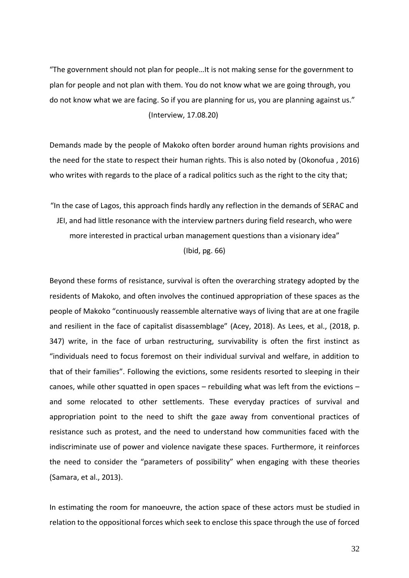"The government should not plan for people…It is not making sense for the government to plan for people and not plan with them. You do not know what we are going through, you do not know what we are facing. So if you are planning for us, you are planning against us." (Interview, 17.08.20)

Demands made by the people of Makoko often border around human rights provisions and the need for the state to respect their human rights. This is also noted by (Okonofua , 2016) who writes with regards to the place of a radical politics such as the right to the city that;

"In the case of Lagos, this approach finds hardly any reflection in the demands of SERAC and JEI, and had little resonance with the interview partners during field research, who were more interested in practical urban management questions than a visionary idea" (Ibid, pg. 66)

Beyond these forms of resistance, survival is often the overarching strategy adopted by the residents of Makoko, and often involves the continued appropriation of these spaces as the people of Makoko "continuously reassemble alternative ways of living that are at one fragile and resilient in the face of capitalist disassemblage" (Acey, 2018). As Lees, et al., (2018, p. 347) write, in the face of urban restructuring, survivability is often the first instinct as "individuals need to focus foremost on their individual survival and welfare, in addition to that of their families". Following the evictions, some residents resorted to sleeping in their canoes, while other squatted in open spaces – rebuilding what was left from the evictions – and some relocated to other settlements. These everyday practices of survival and appropriation point to the need to shift the gaze away from conventional practices of resistance such as protest, and the need to understand how communities faced with the indiscriminate use of power and violence navigate these spaces. Furthermore, it reinforces the need to consider the "parameters of possibility" when engaging with these theories (Samara, et al., 2013).

In estimating the room for manoeuvre, the action space of these actors must be studied in relation to the oppositional forces which seek to enclose this space through the use of forced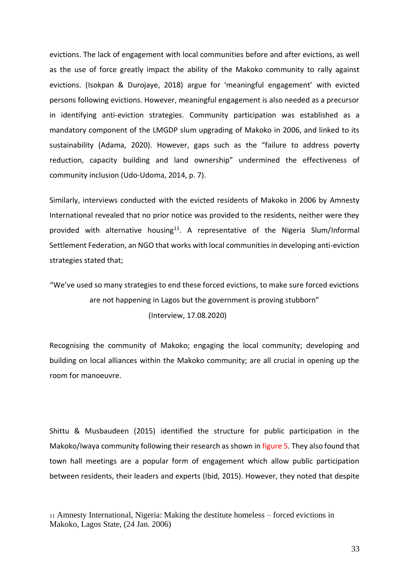evictions. The lack of engagement with local communities before and after evictions, as well as the use of force greatly impact the ability of the Makoko community to rally against evictions. (Isokpan & Durojaye, 2018) argue for 'meaningful engagement' with evicted persons following evictions. However, meaningful engagement is also needed as a precursor in identifying anti-eviction strategies. Community participation was established as a mandatory component of the LMGDP slum upgrading of Makoko in 2006, and linked to its sustainability (Adama, 2020). However, gaps such as the "failure to address poverty reduction, capacity building and land ownership" undermined the effectiveness of community inclusion (Udo-Udoma, 2014, p. 7).

Similarly, interviews conducted with the evicted residents of Makoko in 2006 by Amnesty International revealed that no prior notice was provided to the residents, neither were they provided with alternative housing<sup>11</sup>. A representative of the Nigeria Slum/Informal Settlement Federation, an NGO that works with local communities in developing anti-eviction strategies stated that;

"We've used so many strategies to end these forced evictions, to make sure forced evictions are not happening in Lagos but the government is proving stubborn" (Interview, 17.08.2020)

Recognising the community of Makoko; engaging the local community; developing and building on local alliances within the Makoko community; are all crucial in opening up the room for manoeuvre.

Shittu & Musbaudeen (2015) identified the structure for public participation in the Makoko/Iwaya community following their research as shown in figure 5. They also found that town hall meetings are a popular form of engagement which allow public participation between residents, their leaders and experts (Ibid, 2015). However, they noted that despite

<sup>11</sup> Amnesty International, Nigeria: Making the destitute homeless – forced evictions in Makoko, Lagos State, (24 Jan. 2006)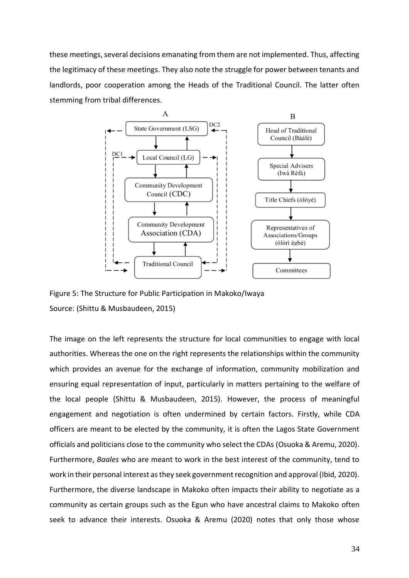these meetings, several decisions emanating from them are not implemented. Thus, affecting the legitimacy of these meetings. They also note the struggle for power between tenants and landlords, poor cooperation among the Heads of the Traditional Council. The latter often stemming from tribal differences.



Figure 5: The Structure for Public Participation in Makoko/Iwaya Source: (Shittu & Musbaudeen, 2015)

The image on the left represents the structure for local communities to engage with local authorities. Whereas the one on the right represents the relationships within the community which provides an avenue for the exchange of information, community mobilization and ensuring equal representation of input, particularly in matters pertaining to the welfare of the local people (Shittu & Musbaudeen, 2015). However, the process of meaningful engagement and negotiation is often undermined by certain factors. Firstly, while CDA officers are meant to be elected by the community, it is often the Lagos State Government officials and politicians close to the community who select the CDAs (Osuoka & Aremu, 2020). Furthermore, *Baales* who are meant to work in the best interest of the community, tend to work in their personal interest as they seek government recognition and approval (Ibid, 2020). Furthermore, the diverse landscape in Makoko often impacts their ability to negotiate as a community as certain groups such as the Egun who have ancestral claims to Makoko often seek to advance their interests. Osuoka & Aremu (2020) notes that only those whose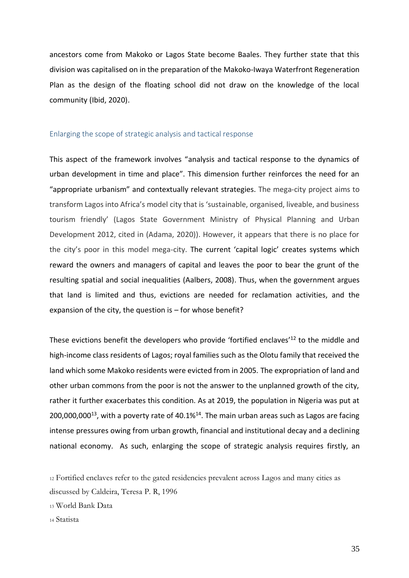ancestors come from Makoko or Lagos State become Baales. They further state that this division was capitalised on in the preparation of the Makoko-Iwaya Waterfront Regeneration Plan as the design of the floating school did not draw on the knowledge of the local community (Ibid, 2020).

## <span id="page-34-0"></span>Enlarging the scope of strategic analysis and tactical response

This aspect of the framework involves "analysis and tactical response to the dynamics of urban development in time and place". This dimension further reinforces the need for an "appropriate urbanism" and contextually relevant strategies. The mega-city project aims to transform Lagos into Africa's model city that is 'sustainable, organised, liveable, and business tourism friendly' (Lagos State Government Ministry of Physical Planning and Urban Development 2012, cited in (Adama, 2020)). However, it appears that there is no place for the city's poor in this model mega-city. The current 'capital logic' creates systems which reward the owners and managers of capital and leaves the poor to bear the grunt of the resulting spatial and social inequalities (Aalbers, 2008). Thus, when the government argues that land is limited and thus, evictions are needed for reclamation activities, and the expansion of the city, the question is  $-$  for whose benefit?

These evictions benefit the developers who provide 'fortified enclaves'<sup>12</sup> to the middle and high-income class residents of Lagos; royal families such as the Olotu family that received the land which some Makoko residents were evicted from in 2005. The expropriation of land and other urban commons from the poor is not the answer to the unplanned growth of the city, rather it further exacerbates this condition. As at 2019, the population in Nigeria was put at  $200,000,000^{13}$ , with a poverty rate of 40.1%<sup>14</sup>. The main urban areas such as Lagos are facing intense pressures owing from urban growth, financial and institutional decay and a declining national economy. As such, enlarging the scope of strategic analysis requires firstly, an

<sup>12</sup> Fortified enclaves refer to the gated residencies prevalent across Lagos and many cities as discussed by Caldeira, Teresa P. R, 1996

<sup>13</sup> World Bank Data

<sup>14</sup> Statista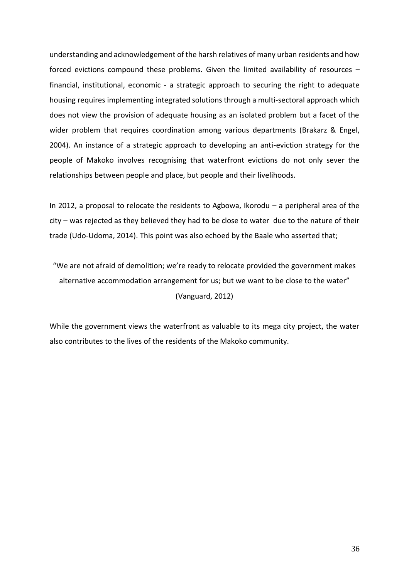understanding and acknowledgement of the harsh relatives of many urban residents and how forced evictions compound these problems. Given the limited availability of resources – financial, institutional, economic - a strategic approach to securing the right to adequate housing requires implementing integrated solutions through a multi-sectoral approach which does not view the provision of adequate housing as an isolated problem but a facet of the wider problem that requires coordination among various departments (Brakarz & Engel, 2004). An instance of a strategic approach to developing an anti-eviction strategy for the people of Makoko involves recognising that waterfront evictions do not only sever the relationships between people and place, but people and their livelihoods.

In 2012, a proposal to relocate the residents to Agbowa, Ikorodu – a peripheral area of the city – was rejected as they believed they had to be close to water due to the nature of their trade (Udo-Udoma, 2014). This point was also echoed by the Baale who asserted that;

"We are not afraid of demolition; we're ready to relocate provided the government makes alternative accommodation arrangement for us; but we want to be close to the water" (Vanguard, 2012)

While the government views the waterfront as valuable to its mega city project, the water also contributes to the lives of the residents of the Makoko community.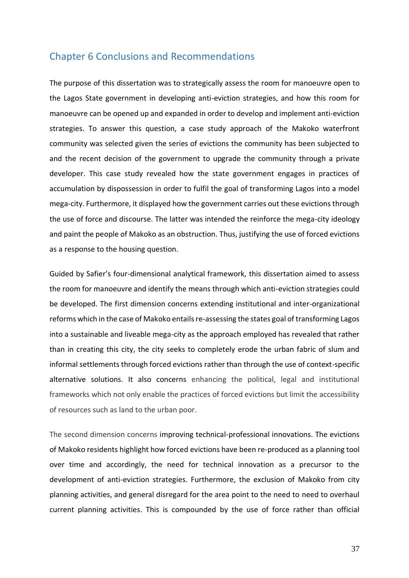# <span id="page-36-0"></span>Chapter 6 Conclusions and Recommendations

The purpose of this dissertation was to strategically assess the room for manoeuvre open to the Lagos State government in developing anti-eviction strategies, and how this room for manoeuvre can be opened up and expanded in order to develop and implement anti-eviction strategies. To answer this question, a case study approach of the Makoko waterfront community was selected given the series of evictions the community has been subjected to and the recent decision of the government to upgrade the community through a private developer. This case study revealed how the state government engages in practices of accumulation by dispossession in order to fulfil the goal of transforming Lagos into a model mega-city. Furthermore, it displayed how the government carries out these evictions through the use of force and discourse. The latter was intended the reinforce the mega-city ideology and paint the people of Makoko as an obstruction. Thus, justifying the use of forced evictions as a response to the housing question.

Guided by Safier's four-dimensional analytical framework, this dissertation aimed to assess the room for manoeuvre and identify the means through which anti-eviction strategies could be developed. The first dimension concerns extending institutional and inter-organizational reforms which in the case of Makoko entails re-assessing the states goal of transforming Lagos into a sustainable and liveable mega-city as the approach employed has revealed that rather than in creating this city, the city seeks to completely erode the urban fabric of slum and informal settlements through forced evictions rather than through the use of context-specific alternative solutions. It also concerns enhancing the political, legal and institutional frameworks which not only enable the practices of forced evictions but limit the accessibility of resources such as land to the urban poor.

The second dimension concerns improving technical-professional innovations. The evictions of Makoko residents highlight how forced evictions have been re-produced as a planning tool over time and accordingly, the need for technical innovation as a precursor to the development of anti-eviction strategies. Furthermore, the exclusion of Makoko from city planning activities, and general disregard for the area point to the need to need to overhaul current planning activities. This is compounded by the use of force rather than official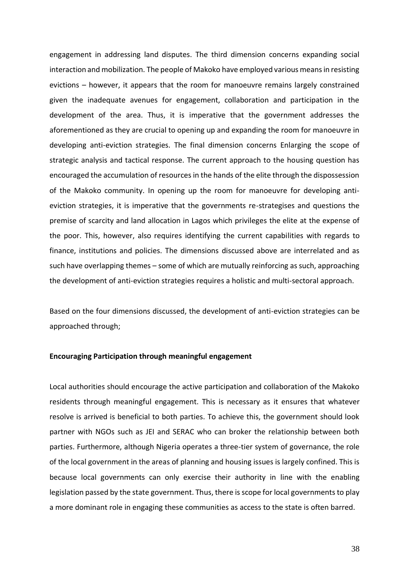engagement in addressing land disputes. The third dimension concerns expanding social interaction and mobilization. The people of Makoko have employed various means in resisting evictions – however, it appears that the room for manoeuvre remains largely constrained given the inadequate avenues for engagement, collaboration and participation in the development of the area. Thus, it is imperative that the government addresses the aforementioned as they are crucial to opening up and expanding the room for manoeuvre in developing anti-eviction strategies. The final dimension concerns Enlarging the scope of strategic analysis and tactical response. The current approach to the housing question has encouraged the accumulation of resources in the hands of the elite through the dispossession of the Makoko community. In opening up the room for manoeuvre for developing antieviction strategies, it is imperative that the governments re-strategises and questions the premise of scarcity and land allocation in Lagos which privileges the elite at the expense of the poor. This, however, also requires identifying the current capabilities with regards to finance, institutions and policies. The dimensions discussed above are interrelated and as such have overlapping themes – some of which are mutually reinforcing as such, approaching the development of anti-eviction strategies requires a holistic and multi-sectoral approach.

Based on the four dimensions discussed, the development of anti-eviction strategies can be approached through;

## **Encouraging Participation through meaningful engagement**

Local authorities should encourage the active participation and collaboration of the Makoko residents through meaningful engagement. This is necessary as it ensures that whatever resolve is arrived is beneficial to both parties. To achieve this, the government should look partner with NGOs such as JEI and SERAC who can broker the relationship between both parties. Furthermore, although Nigeria operates a three-tier system of governance, the role of the local government in the areas of planning and housing issues is largely confined. This is because local governments can only exercise their authority in line with the enabling legislation passed by the state government. Thus, there is scope for local governments to play a more dominant role in engaging these communities as access to the state is often barred.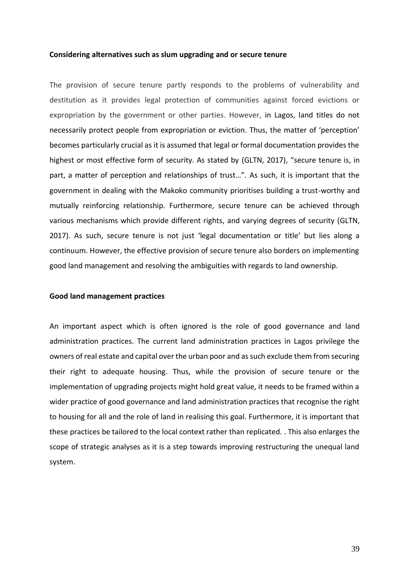#### **Considering alternatives such as slum upgrading and or secure tenure**

The provision of secure tenure partly responds to the problems of vulnerability and destitution as it provides legal protection of communities against forced evictions or expropriation by the government or other parties. However, in Lagos, land titles do not necessarily protect people from expropriation or eviction. Thus, the matter of 'perception' becomes particularly crucial as it is assumed that legal or formal documentation provides the highest or most effective form of security. As stated by (GLTN, 2017), "secure tenure is, in part, a matter of perception and relationships of trust…". As such, it is important that the government in dealing with the Makoko community prioritises building a trust-worthy and mutually reinforcing relationship. Furthermore, secure tenure can be achieved through various mechanisms which provide different rights, and varying degrees of security (GLTN, 2017). As such, secure tenure is not just 'legal documentation or title' but lies along a continuum. However, the effective provision of secure tenure also borders on implementing good land management and resolving the ambiguities with regards to land ownership.

### **Good land management practices**

An important aspect which is often ignored is the role of good governance and land administration practices. The current land administration practices in Lagos privilege the owners of real estate and capital over the urban poor and as such exclude them from securing their right to adequate housing. Thus, while the provision of secure tenure or the implementation of upgrading projects might hold great value, it needs to be framed within a wider practice of good governance and land administration practices that recognise the right to housing for all and the role of land in realising this goal. Furthermore, it is important that these practices be tailored to the local context rather than replicated. . This also enlarges the scope of strategic analyses as it is a step towards improving restructuring the unequal land system.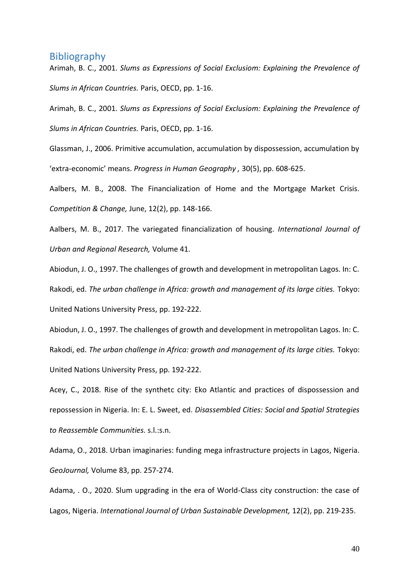# <span id="page-39-0"></span>**Bibliography**

Arimah, B. C., 2001. *Slums as Expressions of Social Exclusiom: Explaining the Prevalence of Slums in African Countries.* Paris, OECD, pp. 1-16.

Arimah, B. C., 2001. *Slums as Expressions of Social Exclusiom: Explaining the Prevalence of Slums in African Countries.* Paris, OECD, pp. 1-16.

Glassman, J., 2006. Primitive accumulation, accumulation by dispossession, accumulation by 'extra-economic' means. *Progress in Human Geography ,* 30(5), pp. 608-625.

Aalbers, M. B., 2008. The Financialization of Home and the Mortgage Market Crisis. *Competition & Change,* June, 12(2), pp. 148-166.

Aalbers, M. B., 2017. The variegated financialization of housing. *International Journal of Urban and Regional Research,* Volume 41.

Abiodun, J. O., 1997. The challenges of growth and development in metropolitan Lagos. In: C. Rakodi, ed. *The urban challenge in Africa: growth and management of its large cities.* Tokyo: United Nations University Press, pp. 192-222.

Abiodun, J. O., 1997. The challenges of growth and development in metropolitan Lagos. In: C. Rakodi, ed. *The urban challenge in Africa: growth and management of its large cities.* Tokyo: United Nations University Press, pp. 192-222.

Acey, C., 2018. Rise of the synthetc city: Eko Atlantic and practices of dispossession and repossession in Nigeria. In: E. L. Sweet, ed. *Disassembled Cities: Social and Spatial Strategies to Reassemble Communities.* s.l.:s.n.

Adama, O., 2018. Urban imaginaries: funding mega infrastructure projects in Lagos, Nigeria. *GeoJournal,* Volume 83, pp. 257-274.

Adama, . O., 2020. Slum upgrading in the era of World-Class city construction: the case of Lagos, Nigeria. *International Journal of Urban Sustainable Development,* 12(2), pp. 219-235.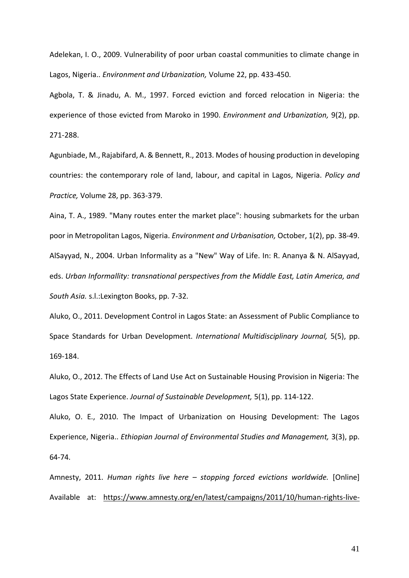Adelekan, I. O., 2009. Vulnerability of poor urban coastal communities to climate change in Lagos, Nigeria.. *Environment and Urbanization,* Volume 22, pp. 433-450.

Agbola, T. & Jinadu, A. M., 1997. Forced eviction and forced relocation in Nigeria: the experience of those evicted from Maroko in 1990. *Environment and Urbanization,* 9(2), pp. 271-288.

Agunbiade, M., Rajabifard, A. & Bennett, R., 2013. Modes of housing production in developing countries: the contemporary role of land, labour, and capital in Lagos, Nigeria. *Policy and Practice,* Volume 28, pp. 363-379.

Aina, T. A., 1989. "Many routes enter the market place": housing submarkets for the urban poor in Metropolitan Lagos, Nigeria. *Environment and Urbanisation,* October, 1(2), pp. 38-49. AlSayyad, N., 2004. Urban Informality as a "New" Way of Life. In: R. Ananya & N. AlSayyad, eds. *Urban Informallity: transnational perspectives from the Middle East, Latin America, and South Asia.* s.l.:Lexington Books, pp. 7-32.

Aluko, O., 2011. Development Control in Lagos State: an Assessment of Public Compliance to Space Standards for Urban Development. *International Multidisciplinary Journal,* 5(5), pp. 169-184.

Aluko, O., 2012. The Effects of Land Use Act on Sustainable Housing Provision in Nigeria: The Lagos State Experience. *Journal of Sustainable Development,* 5(1), pp. 114-122.

Aluko, O. E., 2010. The Impact of Urbanization on Housing Development: The Lagos Experience, Nigeria.. *Ethiopian Journal of Environmental Studies and Management,* 3(3), pp. 64-74.

Amnesty, 2011. *Human rights live here – stopping forced evictions worldwide.* [Online] Available at: https://www.amnesty.org/en/latest/campaigns/2011/10/human-rights-live-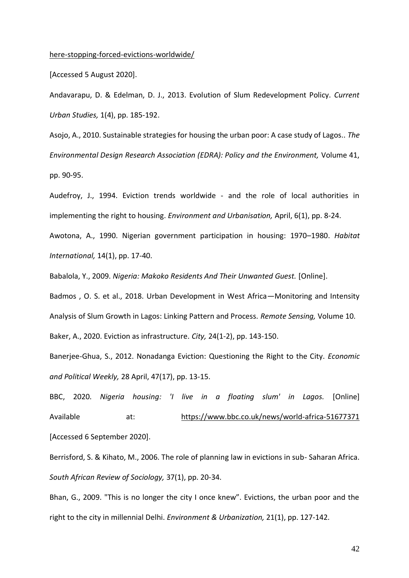#### here-stopping-forced-evictions-worldwide/

[Accessed 5 August 2020].

Andavarapu, D. & Edelman, D. J., 2013. Evolution of Slum Redevelopment Policy. *Current Urban Studies,* 1(4), pp. 185-192.

Asojo, A., 2010. Sustainable strategies for housing the urban poor: A case study of Lagos.. *The Environmental Design Research Association (EDRA): Policy and the Environment,* Volume 41, pp. 90-95.

Audefroy, J., 1994. Eviction trends worldwide - and the role of local authorities in implementing the right to housing. *Environment and Urbanisation,* April, 6(1), pp. 8-24.

Awotona, A., 1990. Nigerian government participation in housing: 1970–1980. *Habitat International,* 14(1), pp. 17-40.

Babalola, Y., 2009. *Nigeria: Makoko Residents And Their Unwanted Guest.* [Online].

Badmos , O. S. et al., 2018. Urban Development in West Africa—Monitoring and Intensity Analysis of Slum Growth in Lagos: Linking Pattern and Process. *Remote Sensing,* Volume 10.

Baker, A., 2020. Eviction as infrastructure. *City,* 24(1-2), pp. 143-150.

Banerjee-Ghua, S., 2012. Nonadanga Eviction: Questioning the Right to the City. *Economic and Political Weekly,* 28 April, 47(17), pp. 13-15.

BBC, 2020. *Nigeria housing: 'I live in a floating slum' in Lagos.* [Online] Available at: https://www.bbc.co.uk/news/world-africa-51677371 [Accessed 6 September 2020].

Berrisford, S. & Kihato, M., 2006. The role of planning law in evictions in sub- Saharan Africa. *South African Review of Sociology,* 37(1), pp. 20-34.

Bhan, G., 2009. "This is no longer the city I once knew". Evictions, the urban poor and the right to the city in millennial Delhi. *Environment & Urbanization,* 21(1), pp. 127-142.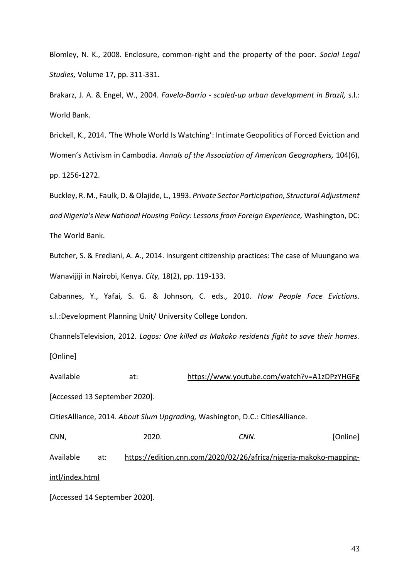Blomley, N. K., 2008. Enclosure, common-right and the property of the poor. *Social Legal Studies,* Volume 17, pp. 311-331.

Brakarz, J. A. & Engel, W., 2004. *Favela-Barrio - scaled-up urban development in Brazil,* s.l.: World Bank.

Brickell, K., 2014. 'The Whole World Is Watching': Intimate Geopolitics of Forced Eviction and Women's Activism in Cambodia. *Annals of the Association of American Geographers,* 104(6), pp. 1256-1272.

Buckley, R. M., Faulk, D. & Olajide, L., 1993. *Private Sector Participation, Structural Adjustment and Nigeria's New National Housing Policy: Lessons from Foreign Experience,* Washington, DC: The World Bank.

Butcher, S. & Frediani, A. A., 2014. Insurgent citizenship practices: The case of Muungano wa Wanavijiji in Nairobi, Kenya. *City,* 18(2), pp. 119-133.

Cabannes, Y., Yafai, S. G. & Johnson, C. eds., 2010. *How People Face Evictions.*  s.l.:Development Planning Unit/ University College London.

ChannelsTelevision, 2012. *Lagos: One killed as Makoko residents fight to save their homes.*  [Online]

Available at: https://www.youtube.com/watch?v=A1zDPzYHGFg [Accessed 13 September 2020]. CitiesAlliance, 2014. *About Slum Upgrading,* Washington, D.C.: CitiesAlliance. CNN, 2020. *CNN.* [Online] Available at: https://edition.cnn.com/2020/02/26/africa/nigeria-makoko-mappingintl/index.html

[Accessed 14 September 2020].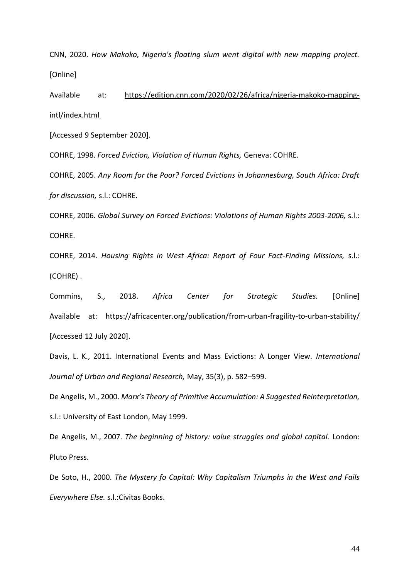CNN, 2020. *How Makoko, Nigeria's floating slum went digital with new mapping project.*  [Online]

Available at: https://edition.cnn.com/2020/02/26/africa/nigeria-makoko-mappingintl/index.html

[Accessed 9 September 2020].

COHRE, 1998. *Forced Eviction, Violation of Human Rights,* Geneva: COHRE.

COHRE, 2005. *Any Room for the Poor? Forced Evictions in Johannesburg, South Africa: Draft for discussion,* s.l.: COHRE.

COHRE, 2006. *Global Survey on Forced Evictions: Violations of Human Rights 2003-2006,* s.l.: COHRE.

COHRE, 2014. *Housing Rights in West Africa: Report of Four Fact-Finding Missions,* s.l.: (COHRE) .

Commins, S., 2018. *Africa Center for Strategic Studies.* [Online] Available at: https://africacenter.org/publication/from-urban-fragility-to-urban-stability/ [Accessed 12 July 2020].

Davis, L. K., 2011. International Events and Mass Evictions: A Longer View. *International Journal of Urban and Regional Research,* May, 35(3), p. 582–599.

De Angelis, M., 2000. *Marx's Theory of Primitive Accumulation: A Suggested Reinterpretation,*  s.l.: University of East London, May 1999.

De Angelis, M., 2007. *The beginning of history: value struggles and global capital.* London: Pluto Press.

De Soto, H., 2000. *The Mystery fo Capital: Why Capitalism Triumphs in the West and Fails Everywhere Else.* s.l.:Civitas Books.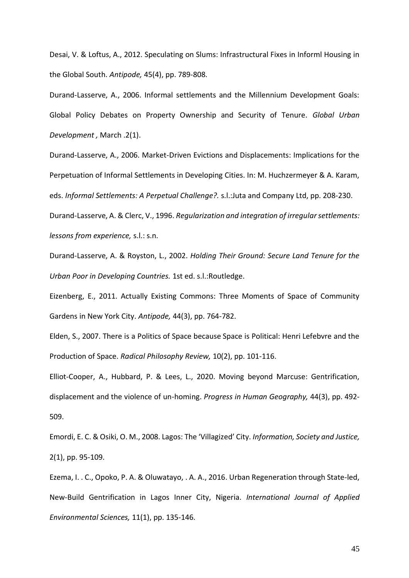Desai, V. & Loftus, A., 2012. Speculating on Slums: Infrastructural Fixes in Informl Housing in the Global South. *Antipode,* 45(4), pp. 789-808.

Durand-Lasserve, A., 2006. Informal settlements and the Millennium Development Goals: Global Policy Debates on Property Ownership and Security of Tenure. *Global Urban Development ,* March .2(1).

Durand-Lasserve, A., 2006. Market-Driven Evictions and Displacements: Implications for the Perpetuation of Informal Settlements in Developing Cities. In: M. Huchzermeyer & A. Karam, eds. *Informal Settlements: A Perpetual Challenge?.* s.l.:Juta and Company Ltd, pp. 208-230.

Durand-Lasserve, A. & Clerc, V., 1996. *Regularization and integration of irregular settlements: lessons from experience,* s.l.: s.n.

Durand-Lasserve, A. & Royston, L., 2002. *Holding Their Ground: Secure Land Tenure for the Urban Poor in Developing Countries.* 1st ed. s.l.:Routledge.

Eizenberg, E., 2011. Actually Existing Commons: Three Moments of Space of Community Gardens in New York City. *Antipode,* 44(3), pp. 764-782.

Elden, S., 2007. There is a Politics of Space because Space is Political: Henri Lefebvre and the Production of Space. *Radical Philosophy Review,* 10(2), pp. 101-116.

Elliot-Cooper, A., Hubbard, P. & Lees, L., 2020. Moving beyond Marcuse: Gentrification, displacement and the violence of un-homing. *Progress in Human Geography,* 44(3), pp. 492- 509.

Emordi, E. C. & Osiki, O. M., 2008. Lagos: The 'Villagized' City. *Information, Society and Justice,*  2(1), pp. 95-109.

Ezema, I. . C., Opoko, P. A. & Oluwatayo, . A. A., 2016. Urban Regeneration through State-led, New-Build Gentrification in Lagos Inner City, Nigeria. *International Journal of Applied Environmental Sciences,* 11(1), pp. 135-146.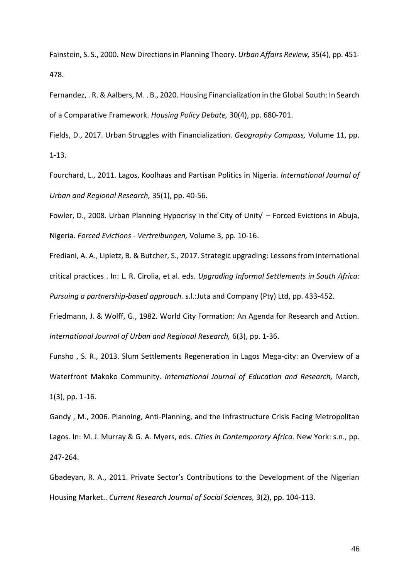Fainstein, S. S., 2000. New Directions in Planning Theory. *Urban Affairs Review,* 35(4), pp. 451- 478.

Fernandez, . R. & Aalbers, M. . B., 2020. Housing Financialization in the Global South: In Search of a Comparative Framework. *Housing Policy Debate,* 30(4), pp. 680-701.

Fields, D., 2017. Urban Struggles with Financialization. *Geography Compass,* Volume 11, pp. 1-13.

Fourchard, L., 2011. Lagos, Koolhaas and Partisan Politics in Nigeria. *International Journal of Urban and Regional Research,* 35(1), pp. 40-56.

Fowler, D., 2008. Urban Planning Hypocrisy in the City of Unity – Forced Evictions in Abuja, Nigeria. *Forced Evictions - Vertreibungen,* Volume 3, pp. 10-16.

Frediani, A. A., Lipietz, B. & Butcher, S., 2017. Strategic upgrading: Lessons from international critical practices . In: L. R. Cirolia, et al. eds. *Upgrading Informal Settlements in South Africa: Pursuing a partnership-based approach.* s.l.:Juta and Company (Pty) Ltd, pp. 433-452.

Friedmann, J. & Wolff, G., 1982. World City Formation: An Agenda for Research and Action. *International Journal of Urban and Regional Research,* 6(3), pp. 1-36.

Funsho , S. R., 2013. Slum Settlements Regeneration in Lagos Mega-city: an Overview of a Waterfront Makoko Community. *International Journal of Education and Research,* March, 1(3), pp. 1-16.

Gandy , M., 2006. Planning, Anti-Planning, and the Infrastructure Crisis Facing Metropolitan Lagos. In: M. J. Murray & G. A. Myers, eds. *Cities in Contemporary Africa.* New York: s.n., pp. 247-264.

Gbadeyan, R. A., 2011. Private Sector's Contributions to the Development of the Nigerian Housing Market.. *Current Research Journal of Social Sciences,* 3(2), pp. 104-113.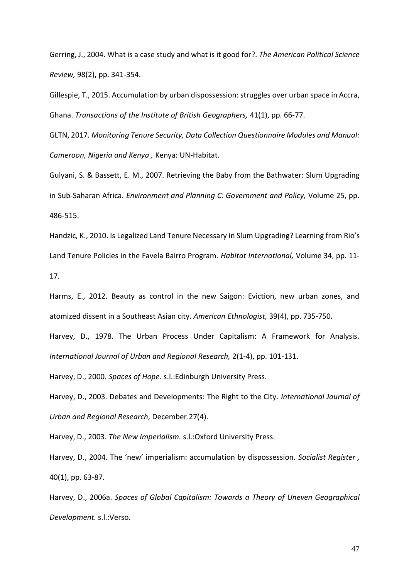Gerring, J., 2004. What is a case study and what is it good for?. *The American Political Science Review,* 98(2), pp. 341-354.

Gillespie, T., 2015. Accumulation by urban dispossession: struggles over urban space in Accra, Ghana. *Transactions of the Institute of British Geographers,* 41(1), pp. 66-77.

GLTN, 2017. *Monitoring Tenure Security, Data Collection Questionnaire Modules and Manual: Cameroon, Nigeria and Kenya ,* Kenya: UN-Habitat.

Gulyani, S. & Bassett, E. M., 2007. Retrieving the Baby from the Bathwater: Slum Upgrading in Sub-Saharan Africa. *Environment and Planning C: Government and Policy,* Volume 25, pp. 486-515.

Handzic, K., 2010. Is Legalized Land Tenure Necessary in Slum Upgrading? Learning from Rio's Land Tenure Policies in the Favela Bairro Program. *Habitat International,* Volume 34, pp. 11- 17.

Harms, E., 2012. Beauty as control in the new Saigon: Eviction, new urban zones, and atomized dissent in a Southeast Asian city. *American Ethnologist,* 39(4), pp. 735-750.

Harvey, D., 1978. The Urban Process Under Capitalism: A Framework for Analysis. *International Journal of Urban and Regional Research,* 2(1-4), pp. 101-131.

Harvey, D., 2000. *Spaces of Hope.* s.l.:Edinburgh University Press.

Harvey, D., 2003. Debates and Developments: The Right to the City. *International Journal of Urban and Regional Research,* December.27(4).

Harvey, D., 2003. *The New Imperialism.* s.l.:Oxford University Press.

Harvey, D., 2004. The 'new' imperialism: accumulation by dispossession. *Socialist Register ,*  40(1), pp. 63-87.

Harvey, D., 2006a. *Spaces of Global Capitalism: Towards a Theory of Uneven Geographical Development.* s.l.:Verso.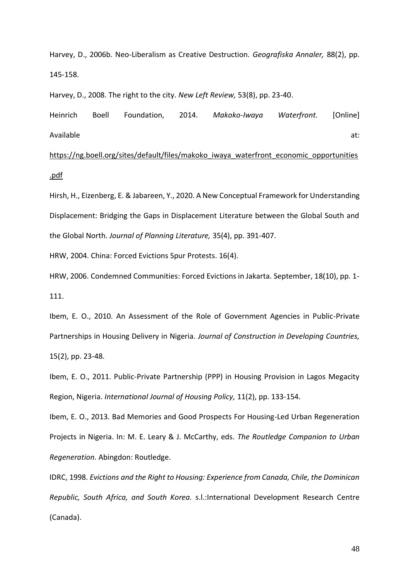Harvey, D., 2006b. Neo-Liberalism as Creative Destruction. *Geografiska Annaler,* 88(2), pp. 145-158.

Harvey, D., 2008. The right to the city. *New Left Review,* 53(8), pp. 23-40.

Heinrich Boell Foundation, 2014. *Makoko-Iwaya Waterfront.* [Online] Available at:

https://ng.boell.org/sites/default/files/makoko\_iwaya\_waterfront\_economic\_opportunities .pdf

Hirsh, H., Eizenberg, E. & Jabareen, Y., 2020. A New Conceptual Framework for Understanding Displacement: Bridging the Gaps in Displacement Literature between the Global South and the Global North. *Journal of Planning Literature,* 35(4), pp. 391-407.

HRW, 2004. China: Forced Evictions Spur Protests. 16(4).

HRW, 2006. Condemned Communities: Forced Evictions in Jakarta. September, 18(10), pp. 1- 111.

Ibem, E. O., 2010. An Assessment of the Role of Government Agencies in Public-Private Partnerships in Housing Delivery in Nigeria. *Journal of Construction in Developing Countries,*  15(2), pp. 23-48.

Ibem, E. O., 2011. Public-Private Partnership (PPP) in Housing Provision in Lagos Megacity Region, Nigeria. *International Journal of Housing Policy,* 11(2), pp. 133-154.

Ibem, E. O., 2013. Bad Memories and Good Prospects For Housing-Led Urban Regeneration Projects in Nigeria. In: M. E. Leary & J. McCarthy, eds. *The Routledge Companion to Urban Regeneration.* Abingdon: Routledge.

IDRC, 1998. *Evictions and the Right to Housing: Experience from Canada, Chile, the Dominican Republic, South Africa, and South Korea.* s.l.:International Development Research Centre (Canada).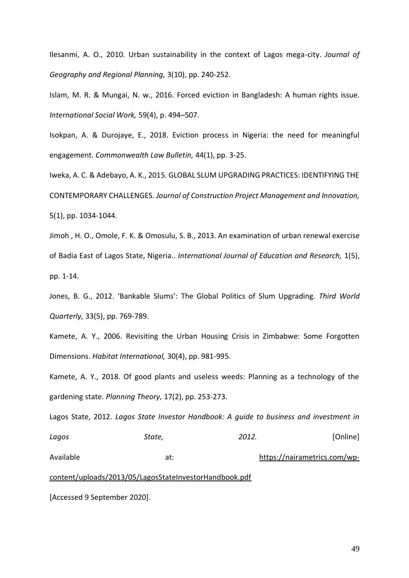Ilesanmi, A. O., 2010. Urban sustainability in the context of Lagos mega-city. *Journal of Geography and Regional Planning,* 3(10), pp. 240-252.

Islam, M. R. & Mungai, N. w., 2016. Forced eviction in Bangladesh: A human rights issue. *International Social Work,* 59(4), p. 494–507.

Isokpan, A. & Durojaye, E., 2018. Eviction process in Nigeria: the need for meaningful engagement. *Commonwealth Law Bulletin,* 44(1), pp. 3-25.

Iweka, A. C. & Adebayo, A. K., 2015. GLOBAL SLUM UPGRADING PRACTICES: IDENTIFYING THE CONTEMPORARY CHALLENGES. *Journal of Construction Project Management and Innovation,*  5(1), pp. 1034-1044.

Jimoh , H. O., Omole, F. K. & Omosulu, S. B., 2013. An examination of urban renewal exercise of Badia East of Lagos State, Nigeria.. *International Journal of Education and Research,* 1(5), pp. 1-14.

Jones, B. G., 2012. 'Bankable Slums': The Global Politics of Slum Upgrading. *Third World Quarterly,* 33(5), pp. 769-789.

Kamete, A. Y., 2006. Revisiting the Urban Housing Crisis in Zimbabwe: Some Forgotten Dimensions. *Habitat International,* 30(4), pp. 981-995.

Kamete, A. Y., 2018. Of good plants and useless weeds: Planning as a technology of the gardening state. *Planning Theory,* 17(2), pp. 253-273.

Lagos State, 2012. *Lagos State Investor Handbook: A guide to business and investment in Lagos State, 2012.* [Online]

Available at: https://nairametrics.com/wp-

content/uploads/2013/05/LagosStateInvestorHandbook.pdf

[Accessed 9 September 2020].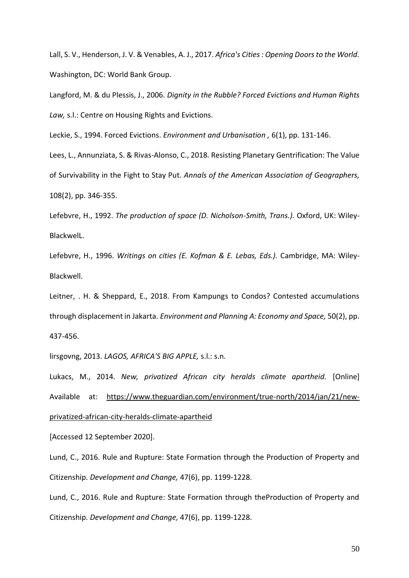Lall, S. V., Henderson, J. V. & Venables, A. J., 2017. *Africa's Cities : Opening Doors to the World.*  Washington, DC: World Bank Group.

Langford, M. & du Plessis, J., 2006. *Dignity in the Rubble? Forced Evictions and Human Rights Law,* s.l.: Centre on Housing Rights and Evictions.

Leckie, S., 1994. Forced Evictions. *Environment and Urbanisation ,* 6(1), pp. 131-146.

Lees, L., Annunziata, S. & Rivas-Alonso, C., 2018. Resisting Planetary Gentrification: The Value of Survivability in the Fight to Stay Put. *Annals of the American Association of Geographers,*  108(2), pp. 346-355.

Lefebvre, H., 1992. *The production of space (D. Nicholson-Smith, Trans.).* Oxford, UK: Wiley-BlackwelL.

Lefebvre, H., 1996. *Writings on cities (E. Kofman & E. Lebas, Eds.).* Cambridge, MA: Wiley-Blackwell.

Leitner, . H. & Sheppard, E., 2018. From Kampungs to Condos? Contested accumulations through displacement in Jakarta. *Environment and Planning A: Economy and Space,* 50(2), pp. 437-456.

lirsgovng, 2013. *LAGOS, AFRICA'S BIG APPLE,* s.l.: s.n.

Lukacs, M., 2014. *New, privatized African city heralds climate apartheid.* [Online] Available at: https://www.theguardian.com/environment/true-north/2014/jan/21/newprivatized-african-city-heralds-climate-apartheid

[Accessed 12 September 2020].

Lund, C., 2016. Rule and Rupture: State Formation through the Production of Property and Citizenship. *Development and Change,* 47(6), pp. 1199-1228.

Lund, C., 2016. Rule and Rupture: State Formation through theProduction of Property and Citizenship. *Development and Change,* 47(6), pp. 1199-1228.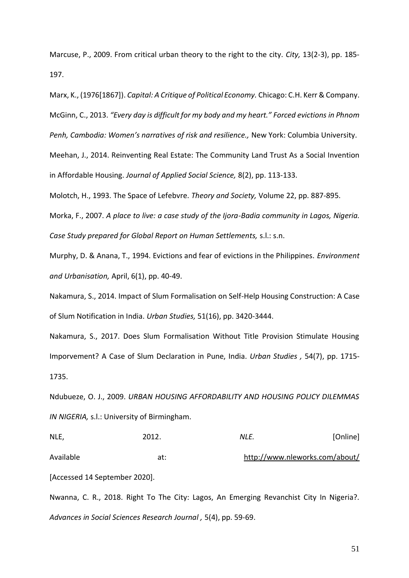Marcuse, P., 2009. From critical urban theory to the right to the city. *City,* 13(2-3), pp. 185- 197.

Marx, K., (1976[1867]). *Capital: A Critique of Political Economy.* Chicago: C.H. Kerr & Company. McGinn, C., 2013. *"Every day is difficult for my body and my heart." Forced evictions in Phnom Penh, Cambodia: Women's narratives of risk and resilience.,* New York: Columbia University. Meehan, J., 2014. Reinventing Real Estate: The Community Land Trust As a Social Invention

in Affordable Housing. *Journal of Applied Social Science,* 8(2), pp. 113-133.

Molotch, H., 1993. The Space of Lefebvre. *Theory and Society,* Volume 22, pp. 887-895.

Morka, F., 2007. *A place to live: a case study of the Ijora-Badia community in Lagos, Nigeria. Case Study prepared for Global Report on Human Settlements,* s.l.: s.n.

Murphy, D. & Anana, T., 1994. Evictions and fear of evictions in the Philippines. *Environment and Urbanisation,* April, 6(1), pp. 40-49.

Nakamura, S., 2014. Impact of Slum Formalisation on Self-Help Housing Construction: A Case of Slum Notification in India. *Urban Studies,* 51(16), pp. 3420-3444.

Nakamura, S., 2017. Does Slum Formalisation Without Title Provision Stimulate Housing Imporvement? A Case of Slum Declaration in Pune, India. *Urban Studies ,* 54(7), pp. 1715- 1735.

Ndubueze, O. J., 2009. *URBAN HOUSING AFFORDABILITY AND HOUSING POLICY DILEMMAS IN NIGERIA,* s.l.: University of Birmingham.

NLE, 2012. *NLE.* [Online] Available at: http://www.nleworks.com/about/ [Accessed 14 September 2020].

Nwanna, C. R., 2018. Right To The City: Lagos, An Emerging Revanchist City In Nigeria?. *Advances in Social Sciences Research Journal ,* 5(4), pp. 59-69.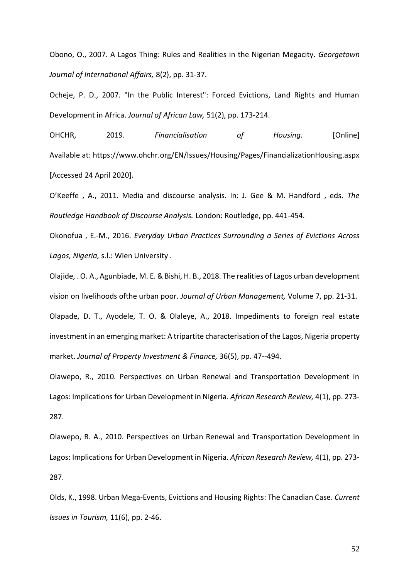Obono, O., 2007. A Lagos Thing: Rules and Realities in the Nigerian Megacity. *Georgetown Journal of International Affairs,* 8(2), pp. 31-37.

Ocheje, P. D., 2007. "In the Public Interest": Forced Evictions, Land Rights and Human Development in Africa. *Journal of African Law,* 51(2), pp. 173-214.

OHCHR, 2019. *Financialisation of Housing.* [Online] Available at: https://www.ohchr.org/EN/Issues/Housing/Pages/FinancializationHousing.aspx [Accessed 24 April 2020].

O'Keeffe , A., 2011. Media and discourse analysis. In: J. Gee & M. Handford , eds. *The Routledge Handbook of Discourse Analysis.* London: Routledge, pp. 441-454.

Okonofua , E.-M., 2016. *Everyday Urban Practices Surrounding a Series of Evictions Across Lagos, Nigeria,* s.l.: Wien University .

Olajide, . O. A., Agunbiade, M. E. & Bishi, H. B., 2018. The realities of Lagos urban development vision on livelihoods ofthe urban poor. *Journal of Urban Management,* Volume 7, pp. 21-31.

Olapade, D. T., Ayodele, T. O. & Olaleye, A., 2018. Impediments to foreign real estate investment in an emerging market: A tripartite characterisation of the Lagos, Nigeria property market. *Journal of Property Investment & Finance,* 36(5), pp. 47--494.

Olawepo, R., 2010. Perspectives on Urban Renewal and Transportation Development in Lagos: Implications for Urban Development in Nigeria. *African Research Review,* 4(1), pp. 273- 287.

Olawepo, R. A., 2010. Perspectives on Urban Renewal and Transportation Development in Lagos: Implications for Urban Development in Nigeria. *African Research Review,* 4(1), pp. 273- 287.

Olds, K., 1998. Urban Mega-Events, Evictions and Housing Rights: The Canadian Case. *Current Issues in Tourism,* 11(6), pp. 2-46.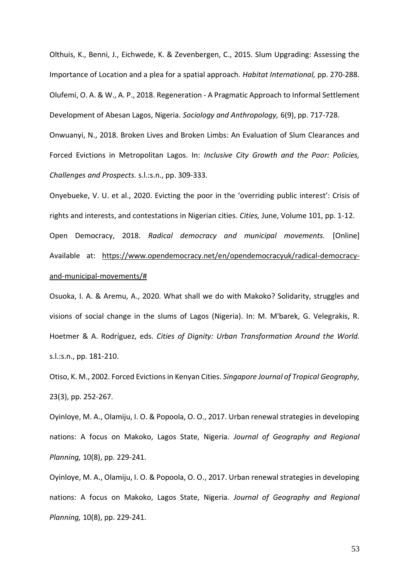Olthuis, K., Benni, J., Eichwede, K. & Zevenbergen, C., 2015. Slum Upgrading: Assessing the Importance of Location and a plea for a spatial approach. *Habitat International,* pp. 270-288. Olufemi, O. A. & W., A. P., 2018. Regeneration - A Pragmatic Approach to Informal Settlement Development of Abesan Lagos, Nigeria. *Sociology and Anthropology,* 6(9), pp. 717-728.

Onwuanyi, N., 2018. Broken Lives and Broken Limbs: An Evaluation of Slum Clearances and Forced Evictions in Metropolitan Lagos. In: *Inclusive City Growth and the Poor: Policies, Challenges and Prospects.* s.l.:s.n., pp. 309-333.

Onyebueke, V. U. et al., 2020. Evicting the poor in the 'overriding public interest': Crisis of rights and interests, and contestations in Nigerian cities. *Cities,* June, Volume 101, pp. 1-12. Open Democracy, 2018. *Radical democracy and municipal movements.* [Online] Available at: https://www.opendemocracy.net/en/opendemocracyuk/radical-democracyand-municipal-movements/#

Osuoka, I. A. & Aremu, A., 2020. What shall we do with Makoko? Solidarity, struggles and visions of social change in the slums of Lagos (Nigeria). In: M. M'barek, G. Velegrakis, R. Hoetmer & A. Rodríguez, eds. *Cities of Dignity: Urban Transformation Around the World.*  s.l.:s.n., pp. 181-210.

Otiso, K. M., 2002. Forced Evictions in Kenyan Cities. *Singapore Journal of Tropical Geography,*  23(3), pp. 252-267.

Oyinloye, M. A., Olamiju, I. O. & Popoola, O. O., 2017. Urban renewal strategies in developing nations: A focus on Makoko, Lagos State, Nigeria. *Journal of Geography and Regional Planning,* 10(8), pp. 229-241.

Oyinloye, M. A., Olamiju, I. O. & Popoola, O. O., 2017. Urban renewal strategies in developing nations: A focus on Makoko, Lagos State, Nigeria. *Journal of Geography and Regional Planning,* 10(8), pp. 229-241.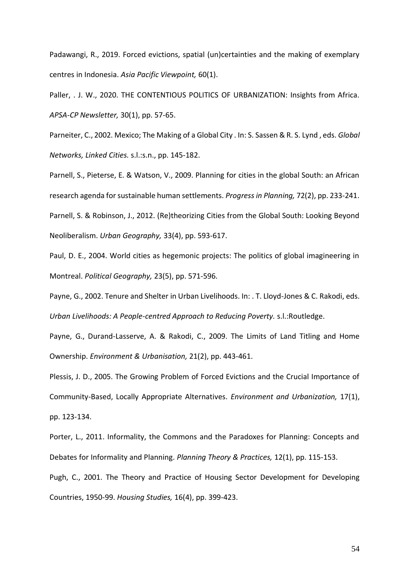Padawangi, R., 2019. Forced evictions, spatial (un)certainties and the making of exemplary centres in Indonesia. *Asia Pacific Viewpoint,* 60(1).

Paller, . J. W., 2020. THE CONTENTIOUS POLITICS OF URBANIZATION: Insights from Africa. *APSA-CP Newsletter,* 30(1), pp. 57-65.

Parneiter, C., 2002. Mexico; The Making of a Global City . In: S. Sassen & R. S. Lynd , eds. *Global Networks, Linked Cities.* s.l.:s.n., pp. 145-182.

Parnell, S., Pieterse, E. & Watson, V., 2009. Planning for cities in the global South: an African research agenda for sustainable human settlements. *Progress in Planning,* 72(2), pp. 233-241. Parnell, S. & Robinson, J., 2012. (Re)theorizing Cities from the Global South: Looking Beyond Neoliberalism. *Urban Geography,* 33(4), pp. 593-617.

Paul, D. E., 2004. World cities as hegemonic projects: The politics of global imagineering in Montreal. *Political Geography,* 23(5), pp. 571-596.

Payne, G., 2002. Tenure and Shelter in Urban Livelihoods. In: . T. Lloyd-Jones & C. Rakodi, eds. *Urban Livelihoods: A People-centred Approach to Reducing Poverty.* s.l.:Routledge.

Payne, G., Durand-Lasserve, A. & Rakodi, C., 2009. The Limits of Land Titling and Home Ownership. *Environment & Urbanisation,* 21(2), pp. 443-461.

Plessis, J. D., 2005. The Growing Problem of Forced Evictions and the Crucial Importance of Community-Based, Locally Appropriate Alternatives. *Environment and Urbanization,* 17(1), pp. 123-134.

Porter, L., 2011. Informality, the Commons and the Paradoxes for Planning: Concepts and Debates for Informality and Planning. *Planning Theory & Practices,* 12(1), pp. 115-153.

Pugh, C., 2001. The Theory and Practice of Housing Sector Development for Developing Countries, 1950-99. *Housing Studies,* 16(4), pp. 399-423.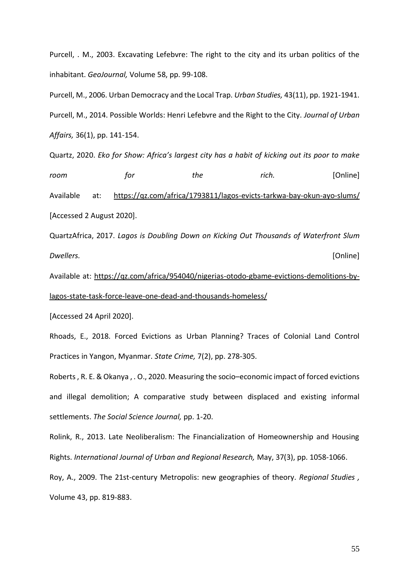Purcell, . M., 2003. Excavating Lefebvre: The right to the city and its urban politics of the inhabitant. *GeoJournal,* Volume 58, pp. 99-108.

Purcell, M., 2006. Urban Democracy and the Local Trap. *Urban Studies,* 43(11), pp. 1921-1941. Purcell, M., 2014. Possible Worlds: Henri Lefebvre and the Right to the City. *Journal of Urban Affairs,* 36(1), pp. 141-154.

Quartz, 2020. *Eko for Show: Africa's largest city has a habit of kicking out its poor to make room for the rich.* [Online] Available at: https://qz.com/africa/1793811/lagos-evicts-tarkwa-bay-okun-ayo-slums/ [Accessed 2 August 2020].

QuartzAfrica, 2017. *Lagos is Doubling Down on Kicking Out Thousands of Waterfront Slum Dwellers.* [Online]

Available at: https://qz.com/africa/954040/nigerias-otodo-gbame-evictions-demolitions-bylagos-state-task-force-leave-one-dead-and-thousands-homeless/

[Accessed 24 April 2020].

Rhoads, E., 2018. Forced Evictions as Urban Planning? Traces of Colonial Land Control Practices in Yangon, Myanmar. *State Crime,* 7(2), pp. 278-305.

Roberts , R. E. & Okanya , . O., 2020. Measuring the socio–economic impact of forced evictions and illegal demolition; A comparative study between displaced and existing informal settlements. *The Social Science Journal,* pp. 1-20.

Rolink, R., 2013. Late Neoliberalism: The Financialization of Homeownership and Housing Rights. *International Journal of Urban and Regional Research,* May, 37(3), pp. 1058-1066.

Roy, A., 2009. The 21st-century Metropolis: new geographies of theory. *Regional Studies ,*  Volume 43, pp. 819-883.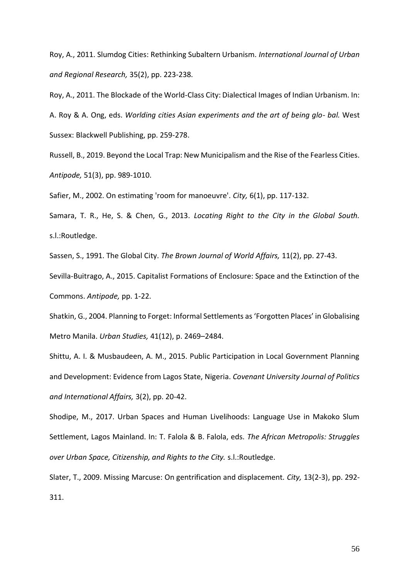Roy, A., 2011. Slumdog Cities: Rethinking Subaltern Urbanism. *International Journal of Urban and Regional Research,* 35(2), pp. 223-238.

Roy, A., 2011. The Blockade of the World‐Class City: Dialectical Images of Indian Urbanism. In: A. Roy & A. Ong, eds. *Worlding cities Asian experiments and the art of being glo- bal.* West Sussex: Blackwell Publishing, pp. 259-278.

Russell, B., 2019. Beyond the Local Trap: New Municipalism and the Rise of the Fearless Cities. *Antipode,* 51(3), pp. 989-1010.

Safier, M., 2002. On estimating 'room for manoeuvre'. *City,* 6(1), pp. 117-132.

Samara, T. R., He, S. & Chen, G., 2013. *Locating Right to the City in the Global South.*  s.l.:Routledge.

Sassen, S., 1991. The Global City. *The Brown Journal of World Affairs,* 11(2), pp. 27-43.

Sevilla-Buitrago, A., 2015. Capitalist Formations of Enclosure: Space and the Extinction of the Commons. *Antipode,* pp. 1-22.

Shatkin, G., 2004. Planning to Forget: Informal Settlements as 'Forgotten Places' in Globalising Metro Manila. *Urban Studies,* 41(12), p. 2469–2484.

Shittu, A. I. & Musbaudeen, A. M., 2015. Public Participation in Local Government Planning and Development: Evidence from Lagos State, Nigeria. *Covenant University Journal of Politics and International Affairs,* 3(2), pp. 20-42.

Shodipe, M., 2017. Urban Spaces and Human Livelihoods: Language Use in Makoko Slum Settlement, Lagos Mainland. In: T. Falola & B. Falola, eds. *The African Metropolis: Struggles over Urban Space, Citizenship, and Rights to the City.* s.l.:Routledge.

Slater, T., 2009. Missing Marcuse: On gentrification and displacement. *City,* 13(2-3), pp. 292- 311.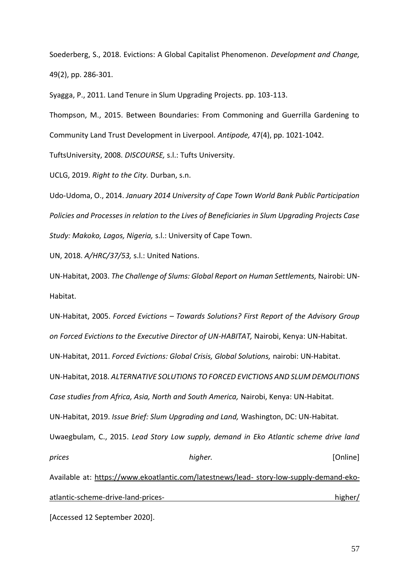Soederberg, S., 2018. Evictions: A Global Capitalist Phenomenon. *Development and Change,*  49(2), pp. 286-301.

Syagga, P., 2011. Land Tenure in Slum Upgrading Projects. pp. 103-113.

Thompson, M., 2015. Between Boundaries: From Commoning and Guerrilla Gardening to Community Land Trust Development in Liverpool. *Antipode,* 47(4), pp. 1021-1042.

TuftsUniversity, 2008. *DISCOURSE,* s.l.: Tufts University.

UCLG, 2019. *Right to the City.* Durban, s.n.

Udo-Udoma, O., 2014. *January 2014 University of Cape Town World Bank Public Participation Policies and Processes in relation to the Lives of Beneficiaries in Slum Upgrading Projects Case Study: Makoko, Lagos, Nigeria,* s.l.: University of Cape Town.

UN, 2018. *A/HRC/37/53,* s.l.: United Nations.

UN-Habitat, 2003. *The Challenge of Slums: Global Report on Human Settlements,* Nairobi: UN-Habitat.

UN-Habitat, 2005. *Forced Evictions – Towards Solutions? First Report of the Advisory Group on Forced Evictions to the Executive Director of UN-HABITAT,* Nairobi, Kenya: UN-Habitat. UN-Habitat, 2011. *Forced Evictions: Global Crisis, Global Solutions,* nairobi: UN-Habitat. UN-Habitat, 2018. *ALTERNATIVE SOLUTIONS TO FORCED EVICTIONS AND SLUM DEMOLITIONS Case studies from Africa, Asia, North and South America,* Nairobi, Kenya: UN-Habitat. UN-Habitat, 2019. *Issue Brief: Slum Upgrading and Land,* Washington, DC: UN-Habitat. Uwaegbulam, C., 2015. *Lead Story Low supply, demand in Eko Atlantic scheme drive land prices higher.* [Online] Available at: https://www.ekoatlantic.com/latestnews/lead- story-low-supply-demand-ekoatlantic-scheme-drive-land-prices- higher/

[Accessed 12 September 2020].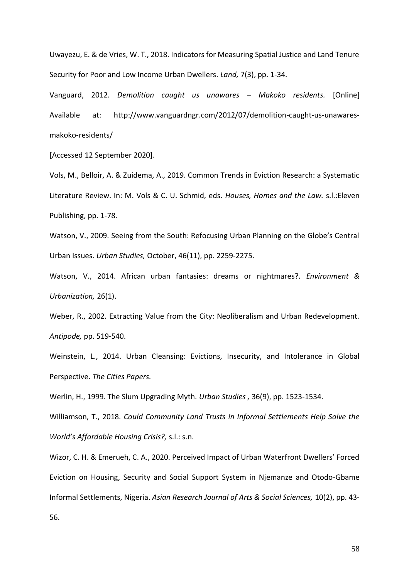Uwayezu, E. & de Vries, W. T., 2018. Indicators for Measuring Spatial Justice and Land Tenure Security for Poor and Low Income Urban Dwellers. *Land,* 7(3), pp. 1-34.

Vanguard, 2012. *Demolition caught us unawares – Makoko residents.* [Online] Available at: http://www.vanguardngr.com/2012/07/demolition-caught-us-unawaresmakoko-residents/

[Accessed 12 September 2020].

Vols, M., Belloir, A. & Zuidema, A., 2019. Common Trends in Eviction Research: a Systematic Literature Review. In: M. Vols & C. U. Schmid, eds. *Houses, Homes and the Law.* s.l.:Eleven Publishing, pp. 1-78.

Watson, V., 2009. Seeing from the South: Refocusing Urban Planning on the Globe's Central Urban Issues. *Urban Studies,* October, 46(11), pp. 2259-2275.

Watson, V., 2014. African urban fantasies: dreams or nightmares?. *Environment & Urbanization,* 26(1).

Weber, R., 2002. Extracting Value from the City: Neoliberalism and Urban Redevelopment. *Antipode,* pp. 519-540.

Weinstein, L., 2014. Urban Cleansing: Evictions, Insecurity, and Intolerance in Global Perspective. *The Cities Papers.*

Werlin, H., 1999. The Slum Upgrading Myth. *Urban Studies ,* 36(9), pp. 1523-1534.

Williamson, T., 2018. *Could Community Land Trusts in Informal Settlements Help Solve the World's Affordable Housing Crisis?,* s.l.: s.n.

Wizor, C. H. & Emerueh, C. A., 2020. Perceived Impact of Urban Waterfront Dwellers' Forced Eviction on Housing, Security and Social Support System in Njemanze and Otodo-Gbame Informal Settlements, Nigeria. *Asian Research Journal of Arts & Social Sciences,* 10(2), pp. 43-

56.